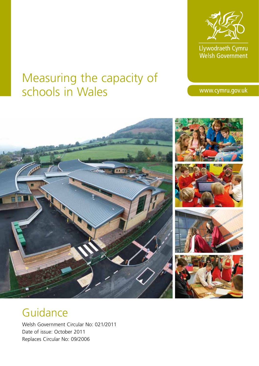

Llywodraeth Cymru<br>Welsh Government

# Measuring the capacity of schools in Wales

www.cymru.gov.uk



# Guidance

Welsh Government Circular No: 021/2011 Date of issue: October 2011 Replaces Circular No: 09/2006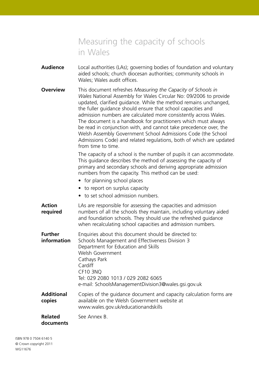- **Audience** Local authorities (LAs); governing bodies of foundation and voluntary aided schools; church diocesan authorities; community schools in Wales; Wales audit offices.
- **Overview** This document refreshes *Measuring the Capacity of Schools in Wales* National Assembly for Wales Circular No: 09/2006 to provide updated, clarified guidance. While the method remains unchanged, the fuller guidance should ensure that school capacities and admission numbers are calculated more consistently across Wales. The document is a handbook for practitioners which must always be read in conjunction with, and cannot take precedence over, the Welsh Assembly Government School Admissions Code (the School Admissions Code) and related regulations, both of which are updated from time to time.

The capacity of a school is the number of pupils it can accommodate. This guidance describes the method of assessing the capacity of primary and secondary schools and deriving appropriate admission numbers from the capacity. This method can be used:

- for planning school places
- to report on surplus capacity
- to set school admission numbers.
- **Action** LAs are responsible for assessing the capacities and admission **required** numbers of all the schools they maintain, including voluntary aided and foundation schools. They should use the refreshed guidance when recalculating school capacities and admission numbers.

| <b>Further</b><br>information | Enquiries about this document should be directed to:<br>Schools Management and Effectiveness Division 3<br>Department for Education and Skills<br>Welsh Government<br>Cathays Park<br>Cardiff<br><b>CF10 3NO</b><br>Tel: 029 2080 1013 / 029 2082 6065<br>e-mail: SchoolsManagementDivision3@wales.gsi.gov.uk |
|-------------------------------|---------------------------------------------------------------------------------------------------------------------------------------------------------------------------------------------------------------------------------------------------------------------------------------------------------------|
| Additional<br>copies          | Copies of the guidance document and capacity calculation forms are<br>available on the Welsh Government website at<br>www.wales.gov.uk/educationandskills                                                                                                                                                     |
| <b>Related</b>                | See Annex B.                                                                                                                                                                                                                                                                                                  |

# **documents**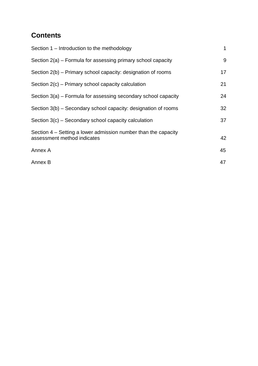# **Contents**

| Section 1 – Introduction to the methodology                                                   | 1  |
|-----------------------------------------------------------------------------------------------|----|
| Section 2(a) – Formula for assessing primary school capacity                                  | 9  |
| Section 2(b) – Primary school capacity: designation of rooms                                  | 17 |
| Section 2(c) – Primary school capacity calculation                                            | 21 |
| Section 3(a) – Formula for assessing secondary school capacity                                | 24 |
| Section 3(b) – Secondary school capacity: designation of rooms                                | 32 |
| Section 3(c) – Secondary school capacity calculation                                          | 37 |
| Section 4 – Setting a lower admission number than the capacity<br>assessment method indicates | 42 |
| Annex A                                                                                       | 45 |
| Annex B                                                                                       | 47 |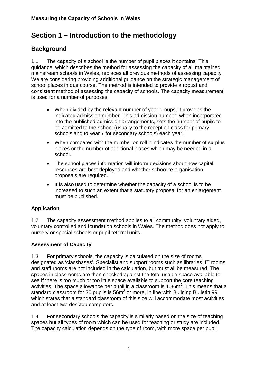# **Section 1 – Introduction to the methodology**

# **Background**

1.1 The capacity of a school is the number of pupil places it contains. This guidance, which describes the method for assessing the capacity of all maintained mainstream schools in Wales, replaces all previous methods of assessing capacity. We are considering providing additional guidance on the strategic management of school places in due course. The method is intended to provide a robust and consistent method of assessing the capacity of schools. The capacity measurement is used for a number of purposes:

- When divided by the relevant number of year groups, it provides the indicated admission number. This admission number, when incorporated into the published admission arrangements, sets the number of pupils to be admitted to the school (usually to the reception class for primary schools and to year 7 for secondary schools) each year.
- When compared with the number on roll it indicates the number of surplus places or the number of additional places which may be needed in a school.
- The school places information will inform decisions about how capital resources are best deployed and whether school re-organisation proposals are required.
- It is also used to determine whether the capacity of a school is to be increased to such an extent that a statutory proposal for an enlargement must be published.

#### **Application**

1.2 The capacity assessment method applies to all community, voluntary aided, voluntary controlled and foundation schools in Wales. The method does not apply to nursery or special schools or pupil referral units.

#### **Assessment of Capacity**

1.3 For primary schools, the capacity is calculated on the size of rooms designated as 'classbases'. Specialist and support rooms such as libraries, IT rooms and staff rooms are not included in the calculation, but must all be measured. The spaces in classrooms are then checked against the total usable space available to see if there is too much or too little space available to support the core teaching activities. The space allowance per pupil in a classroom is 1.86m<sup>2</sup>. This means that a standard classroom for 30 pupils is  $56m^2$  or more, in line with Building Bulletin 99 which states that a standard classroom of this size will accommodate most activities and at least two desktop computers.

1.4 For secondary schools the capacity is similarly based on the size of teaching spaces but all types of room which can be used for teaching or study are included. The capacity calculation depends on the type of room, with more space per pupil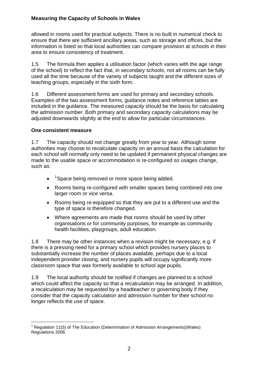allowed in rooms used for practical subjects. There is no built in numerical check to ensure that there are sufficient ancillary areas, such as storage and offices, but the information is listed so that local authorities can compare provision at schools in their area to ensure consistency of treatment.

1.5 The formula then applies a utilisation factor (which varies with the age range of the school) to reflect the fact that, in secondary schools, not all rooms can be fully used all the time because of the variety of subjects taught and the different sizes of teaching groups, especially in the sixth form.

1.6 Different assessment forms are used for primary and secondary schools. Examples of the two assessment forms, guidance notes and reference tables are included in the guidance. The measured capacity should be the basis for calculating the admission number. Both primary and secondary capacity calculations may be adjusted downwards slightly at the end to allow for particular circumstances.

#### **One consistent measure**

1.7 The capacity should not change greatly from year to year. Although some authorities may choose to recalculate capacity on an annual basis the calculation for each school will normally only need to be updated if permanent physical changes are made to the usable space or accommodation is re-configured so usages change, such as:

- $\bullet$  <sup>[1](#page-4-0)</sup> Space being removed or more space being added.
- Rooms being re-configured with smaller spaces being combined into one larger room or vice versa.
- Rooms being re-equipped so that they are put to a different use and the type of space is therefore changed.
- Where agreements are made that rooms should be used by other organisations or for community purposes, for example as community health facilities, playgroups, adult education.

1.8 There may be other instances when a revision might be necessary, e.g. if there is a pressing need for a primary school which provides nursery places to substantially increase the number of places available, perhaps due to a local independent provider closing, and nursery pupils will occupy significantly more classroom space that was formerly available to school age pupils.

1.9 The local authority should be notified if changes are planned to a school which could affect the capacity so that a recalculation may be arranged. In addition, a recalculation may be requested by a headteacher or governing body if they consider that the capacity calculation and admission number for their school no longer reflects the use of space.

<span id="page-4-0"></span> $\overline{a}$ <sup>1</sup> Regulation 11(5) of The Education (Determination of Admission Arrangements)(Wales) Regulations 2006.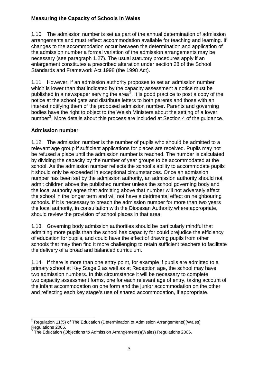1.10 The admission number is set as part of the annual determination of admission arrangements and must reflect accommodation available for teaching and learning. If changes to the accommodation occur between the determination and application of the admission number a formal variation of the admission arrangements may be necessary (see paragraph 1.27). The usual statutory procedures apply if an enlargement constitutes a prescribed alteration under section 28 of the School Standards and Framework Act 1998 (the 1998 Act).

1.11 However, if an admission authority proposes to set an admission number which is lower than that indicated by the capacity assessment a notice must be published in a newspaper serving the area<sup>[2](#page-5-0)</sup>. It is good practice to post a copy of the notice at the school gate and distribute letters to both parents and those with an interest notifying them of the proposed admission number. Parents and governing bodies have the right to object to the Welsh Ministers about the setting of a lower number<sup>[3](#page-5-1)</sup>. More details about this process are included at Section 4 of the guidance.

#### **Admission number**

1.12 The admission number is the number of pupils who should be admitted to a relevant age group if sufficient applications for places are received. Pupils may not be refused a place until the admission number is reached. The number is calculated by dividing the capacity by the number of year groups to be accommodated at the school. As the admission number reflects the school's ability to accommodate pupils it should only be exceeded in exceptional circumstances. Once an admission number has been set by the admission authority, an admission authority should not admit children above the published number unless the school governing body and the local authority agree that admitting above that number will not adversely affect the school in the longer term and will not have a detrimental effect on neighbouring schools. If it is necessary to breach the admission number for more than two years the local authority, in consultation with the Diocesan Authority where appropriate, should review the provision of school places in that area.

1.13 Governing body admission authorities should be particularly mindful that admitting more pupils than the school has capacity for could prejudice the efficiency of education for pupils, and could have the effect of drawing pupils from other schools that may then find it more challenging to retain sufficient teachers to facilitate the delivery of a broad and balanced curriculum.

1.14 If there is more than one entry point, for example if pupils are admitted to a primary school at Key Stage 2 as well as at Reception age, the school may have two admission numbers. In this circumstance it will be necessary to complete two capacity assessment forms, one for each relevant age of entry, taking account of the infant accommodation on one form and the junior accommodation on the other and reflecting each key stage's use of shared accommodation, if appropriate.

<span id="page-5-0"></span><sup>&</sup>lt;sup>2</sup> Regulation 11(5) of The Education (Determination of Admission Arrangements)(Wales) Regulations 2006.

<span id="page-5-1"></span> $3$  The Education (Objections to Admission Arrangements)(Wales) Regulations 2006.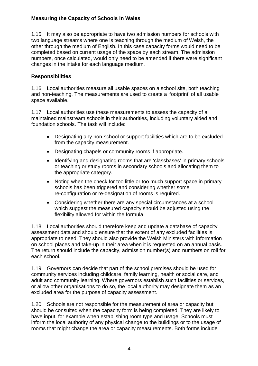1.15 It may also be appropriate to have two admission numbers for schools with two language streams where one is teaching through the medium of Welsh, the other through the medium of English. In this case capacity forms would need to be completed based on current usage of the space by each stream. The admission numbers, once calculated, would only need to be amended if there were significant changes in the intake for each language medium.

#### **Responsibilities**

1.16 Local authorities measure all usable spaces on a school site, both teaching and non-teaching. The measurements are used to create a 'footprint' of all usable space available.

1.17 Local authorities use these measurements to assess the capacity of all maintained mainstream schools in their authorities, including voluntary aided and foundation schools. The task will include:

- Designating any non-school or support facilities which are to be excluded from the capacity measurement.
- Designating chapels or community rooms if appropriate.
- Identifying and designating rooms that are 'classbases' in primary schools or teaching or study rooms in secondary schools and allocating them to the appropriate category.
- Noting when the check for too little or too much support space in primary schools has been triggered and considering whether some re-configuration or re-designation of rooms is required.
- Considering whether there are any special circumstances at a school which suggest the measured capacity should be adjusted using the flexibility allowed for within the formula.

1.18 Local authorities should therefore keep and update a database of capacity assessment data and should ensure that the extent of any excluded facilities is appropriate to need. They should also provide the Welsh Ministers with information on school places and take-up in their area when it is requested on an annual basis. The return should include the capacity, admission number(s) and numbers on roll for each school.

1.19 Governors can decide that part of the school premises should be used for community services including childcare, family learning, health or social care, and adult and community learning. Where governors establish such facilities or services, or allow other organisations to do so, the local authority may designate them as an excluded area for the purpose of capacity assessment.

1.20 Schools are not responsible for the measurement of area or capacity but should be consulted when the capacity form is being completed. They are likely to have input, for example when establishing room type and usage. Schools must inform the local authority of any physical change to the buildings or to the usage of rooms that might change the area or capacity measurements. Both forms include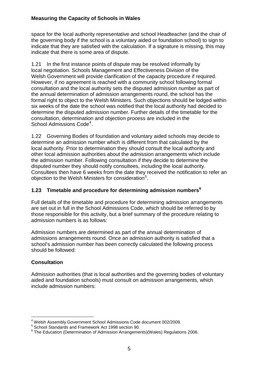space for the local authority representative and school Headteacher (and the chair of the governing body if the school is a voluntary aided or foundation school) to sign to indicate that they are satisfied with the calculation. If a signature is missing, this may indicate that there is some area of dispute.

1.21 In the first instance points of dispute may be resolved informally by local negotiation. Schools Management and Effectiveness Division of the Welsh Government will provide clarification of the capacity procedure if required. However, if no agreement is reached with a community school following formal consultation and the local authority sets the disputed admission number as part of the annual determination of admission arrangements round, the school has the formal right to object to the Welsh Ministers. Such objections should be lodged within six weeks of the date the school was notified that the local authority had decided to determine the disputed admission number. Further details of the timetable for the consultation, determination and objection process are included in the School Admissions Code<sup>[4](#page-7-0)</sup>.

1.22 Governing Bodies of foundation and voluntary aided schools may decide to determine an admission number which is different from that calculated by the local authority. Prior to determination they should consult the local authority and other local admission authorities about the admission arrangements which include the admission number. Following consultation if they decide to determine the disputed number they should notify consultees, including the local authority. Consultees then have 6 weeks from the date they received the notification to refer an objection to the Welsh Ministers for consideration<sup>[5](#page-7-1)</sup>.

#### **1.23 Timetable and procedure for determining admission numbers[6](#page-7-2)**

Full details of the timetable and procedure for determining admission arrangements are set out in full in the School Admissions Code, which should be referred to by those responsible for this activity, but a brief summary of the procedure relating to admission numbers is as follows:

Admission numbers are determined as part of the annual determination of admissions arrangements round. Once an admission authority is satisfied that a school's admission number has been correctly calculated the following process should be followed:

#### **Consultation**

Admission authorities (that is local authorities and the governing bodies of voluntary aided and foundation schools) must consult on admission arrangements, which include admission numbers:

 4 Welsh Assembly Government School Admissions Code document 002/2009.

<span id="page-7-1"></span><span id="page-7-0"></span><sup>5</sup> School Standards and Framework Act 1998 section 90.

<span id="page-7-2"></span> $6$  The Education (Determination of Admission Arrangements)(Wales) Regulations 2006.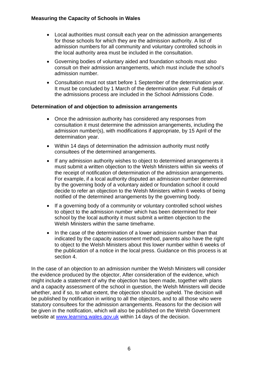- Local authorities must consult each year on the admission arrangements for those schools for which they are the admission authority. A list of admission numbers for all community and voluntary controlled schools in the local authority area must be included in the consultation.
- Governing bodies of voluntary aided and foundation schools must also consult on their admission arrangements, which must include the school's admission number.
- Consultation must not start before 1 September of the determination year. It must be concluded by 1 March of the determination year. Full details of the admissions process are included in the School Admissions Code.

#### **Determination of and objection to admission arrangements**

- Once the admission authority has considered any responses from consultation it must determine the admission arrangements, including the admission number(s), with modifications if appropriate, by 15 April of the determination year.
- Within 14 days of determination the admission authority must notify consultees of the determined arrangements.
- If any admission authority wishes to object to determined arrangements it must submit a written objection to the Welsh Ministers within six weeks of the receipt of notification of determination of the admission arrangements. For example, if a local authority disputed an admission number determined by the governing body of a voluntary aided or foundation school it could decide to refer an objection to the Welsh Ministers within 6 weeks of being notified of the determined arrangements by the governing body.
- If a governing body of a community or voluntary controlled school wishes to object to the admission number which has been determined for their school by the local authority it must submit a written objection to the Welsh Ministers within the same timeframe.
- In the case of the determination of a lower admission number than that indicated by the capacity assessment method, parents also have the right to object to the Welsh Ministers about this lower number within 6 weeks of the publication of a notice in the local press. Guidance on this process is at section 4.

In the case of an objection to an admission number the Welsh Ministers will consider the evidence produced by the objector, After consideration of the evidence, which might include a statement of why the objection has been made, together with plans and a capacity assessment of the school in question, the Welsh Ministers will decide whether, and if so, to what extent, the objection should be upheld. The decision will be published by notification in writing to all the objectors, and to all those who were statutory consultees for the admission arrangements. Reasons for the decision will be given in the notification, which will also be published on the Welsh Government website at [www.learning.wales.gov.uk](http://www.learning.wales.gov.uk/) within 14 days of the decision.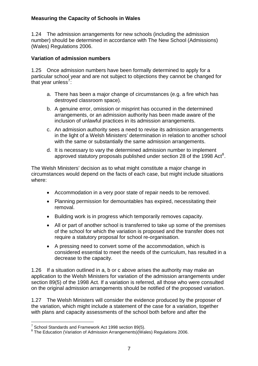1.24 The admission arrangements for new schools (including the admission number) should be determined in accordance with The New School (Admissions) (Wales) Regulations 2006.

#### **Variation of admission numbers**

1.25 Once admission numbers have been formally determined to apply for a particular school year and are not subject to objections they cannot be changed for that year unless<sup>[7](#page-9-0)</sup>:

- a. There has been a major change of circumstances (e.g. a fire which has destroyed classroom space).
- b. A genuine error, omission or misprint has occurred in the determined arrangements, or an admission authority has been made aware of the inclusion of unlawful practices in its admission arrangements.
- c. An admission authority sees a need to revise its admission arrangements in the light of a Welsh Ministers' determination in relation to another school with the same or substantially the same admission arrangements.
- d. It is necessary to vary the determined admission number to implement approved statutory proposals published under section 2[8](#page-9-1) of the 1998 Act<sup>8</sup>.

The Welsh Ministers' decision as to what might constitute a major change in circumstances would depend on the facts of each case, but might include situations where:

- Accommodation in a very poor state of repair needs to be removed.
- Planning permission for demountables has expired, necessitating their removal.
- Building work is in progress which temporarily removes capacity.
- All or part of another school is transferred to take up some of the premises of the school for which the variation is proposed and the transfer does not require a statutory proposal for school re-organisation.
- A pressing need to convert some of the accommodation, which is considered essential to meet the needs of the curriculum, has resulted in a decrease to the capacity.

1.26 If a situation outlined in a, b or c above arises the authority may make an application to the Welsh Ministers for variation of the admission arrangements under section 89(5) of the 1998 Act. If a variation is referred, all those who were consulted on the original admission arrangements should be notified of the proposed variation.

1.27 The Welsh Ministers will consider the evidence produced by the proposer of the variation, which might include a statement of the case for a variation, together with plans and capacity assessments of the school both before and after the

 $\overline{a}$  $7$  School Standards and Framework Act 1998 section 89(5).

<span id="page-9-1"></span><span id="page-9-0"></span> $8$  The Education (Variation of Admission Arrangements)(Wales) Regulations 2006.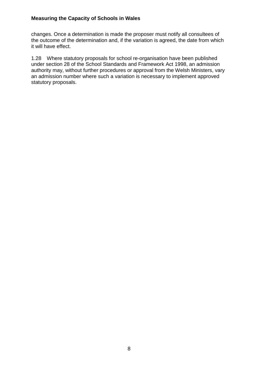changes. Once a determination is made the proposer must notify all consultees of the outcome of the determination and, if the variation is agreed, the date from which it will have effect.

1.28 Where statutory proposals for school re-organisation have been published under section 28 of the School Standards and Framework Act 1998, an admission authority may, without further procedures or approval from the Welsh Ministers, vary an admission number where such a variation is necessary to implement approved statutory proposals.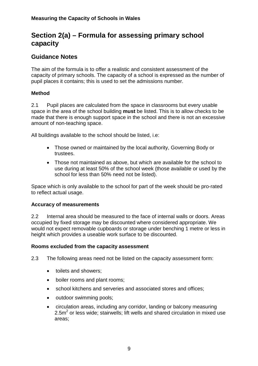# **Section 2(a) – Formula for assessing primary school capacity**

### **Guidance Notes**

The aim of the formula is to offer a realistic and consistent assessment of the capacity of primary schools. The capacity of a school is expressed as the number of pupil places it contains; this is used to set the admissions number.

#### **Method**

2.1 Pupil places are calculated from the space in classrooms but every usable space in the area of the school building **must** be listed. This is to allow checks to be made that there is enough support space in the school and there is not an excessive amount of non-teaching space.

All buildings available to the school should be listed, i.e:

- Those owned or maintained by the local authority, Governing Body or trustees.
- Those not maintained as above, but which are available for the school to use during at least 50% of the school week (those available or used by the school for less than 50% need not be listed).

Space which is only available to the school for part of the week should be pro-rated to reflect actual usage.

#### **Accuracy of measurements**

2.2 Internal area should be measured to the face of internal walls or doors. Areas occupied by fixed storage may be discounted where considered appropriate. We would not expect removable cupboards or storage under benching 1 metre or less in height which provides a useable work surface to be discounted.

#### **Rooms excluded from the capacity assessment**

2.3 The following areas need not be listed on the capacity assessment form:

- toilets and showers;
- boiler rooms and plant rooms:
- school kitchens and serveries and associated stores and offices;
- outdoor swimming pools;
- circulation areas, including any corridor, landing or balcony measuring 2.5 $m<sup>2</sup>$  or less wide; stairwells; lift wells and shared circulation in mixed use areas;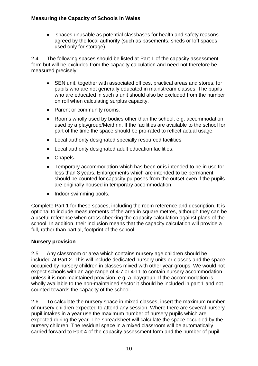• spaces unusable as potential classbases for health and safety reasons agreed by the local authority (such as basements, sheds or loft spaces used only for storage).

2.4 The following spaces should be listed at Part 1 of the capacity assessment form but will be excluded from the capacity calculation and need not therefore be measured precisely:

- SEN unit, together with associated offices, practical areas and stores, for pupils who are not generally educated in mainstream classes. The pupils who are educated in such a unit should also be excluded from the number on roll when calculating surplus capacity.
- Parent or community rooms.
- Rooms wholly used by bodies other than the school, e.g. accommodation used by a playgroup/Meithrin. If the facilities are available to the school for part of the time the space should be pro-rated to reflect actual usage.
- Local authority designated specially resourced facilities.
- Local authority designated adult education facilities.
- Chapels.
- Temporary accommodation which has been or is intended to be in use for less than 3 years. Enlargements which are intended to be permanent should be counted for capacity purposes from the outset even if the pupils are originally housed in temporary accommodation.
- Indoor swimming pools.

Complete Part 1 for these spaces, including the room reference and description. It is optional to include measurements of the area in square metres, although they can be a useful reference when cross-checking the capacity calculation against plans of the school. In addition, their inclusion means that the capacity calculation will provide a full, rather than partial, footprint of the school.

#### **Nursery provision**

2.5 Any classroom or area which contains nursery age children should be included at Part 2. This will include dedicated nursery units or classes and the space occupied by nursery children in classes mixed with other year-groups. We would not expect schools with an age range of 4-7 or 4-11 to contain nursery accommodation unless it is non-maintained provision, e.g. a playgroup. If the accommodation is wholly available to the non-maintained sector it should be included in part 1 and not counted towards the capacity of the school.

2.6 To calculate the nursery space in mixed classes, insert the maximum number of nursery children expected to attend any session. Where there are several nursery pupil intakes in a year use the maximum number of nursery pupils which are expected during the year. The spreadsheet will calculate the space occupied by the nursery children. The residual space in a mixed classroom will be automatically carried forward to Part 4 of the capacity assessment form and the number of pupil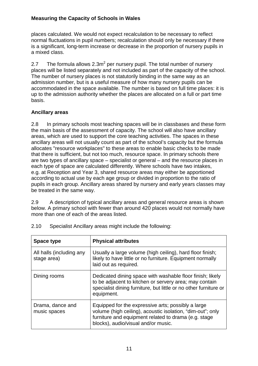places calculated. We would not expect recalculation to be necessary to reflect normal fluctuations in pupil numbers; recalculation should only be necessary if there is a significant, long-term increase or decrease in the proportion of nursery pupils in a mixed class.

2.7 The formula allows 2.3m<sup>2</sup> per nursery pupil. The total number of nursery places will be listed separately and not included as part of the capacity of the school. The number of nursery places is not statutorily binding in the same way as an admission number, but is a useful measure of how many nursery pupils can be accommodated in the space available. The number is based on full time places: it is up to the admission authority whether the places are allocated on a full or part time basis.

#### **Ancillary areas**

2.8 In primary schools most teaching spaces will be in classbases and these form the main basis of the assessment of capacity. The school will also have ancillary areas, which are used to support the core teaching activities. The spaces in these ancillary areas will not usually count as part of the school's capacity but the formula allocates "resource workplaces" to these areas to enable basic checks to be made that there is sufficient, but not too much, resource space. In primary schools there are two types of ancillary space – specialist or general – and the resource places in each type of space are calculated differently. Where schools have two intakes, e.g. at Reception and Year 3, shared resource areas may either be apportioned according to actual use by each age group or divided in proportion to the ratio of pupils in each group. Ancillary areas shared by nursery and early years classes may be treated in the same way.

2.9 A description of typical ancillary areas and general resource areas is shown below. A primary school with fewer than around 420 places would not normally have more than one of each of the areas listed.

| Space type                              | <b>Physical attributes</b>                                                                                                                                                                                      |
|-----------------------------------------|-----------------------------------------------------------------------------------------------------------------------------------------------------------------------------------------------------------------|
| All halls (including any<br>stage area) | Usually a large volume (high ceiling), hard floor finish;<br>likely to have little or no furniture. Equipment normally<br>laid out as required.                                                                 |
| Dining rooms                            | Dedicated dining space with washable floor finish; likely<br>to be adjacent to kitchen or servery area; may contain<br>specialist dining furniture, but little or no other furniture or<br>equipment.           |
| Drama, dance and<br>music spaces        | Equipped for the expressive arts; possibly a large<br>volume (high ceiling), acoustic isolation, "dim-out"; only<br>furniture and equipment related to drama (e.g. stage<br>blocks), audio/visual and/or music. |

2.10 Specialist Ancillary areas might include the following: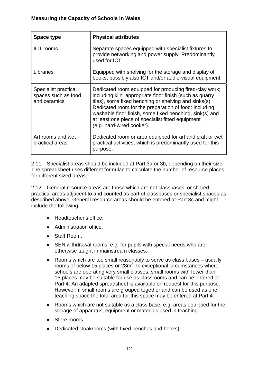| Space type                                                  | <b>Physical attributes</b>                                                                                                                                                                                                                                                                                                                                                        |
|-------------------------------------------------------------|-----------------------------------------------------------------------------------------------------------------------------------------------------------------------------------------------------------------------------------------------------------------------------------------------------------------------------------------------------------------------------------|
| <b>ICT</b> rooms                                            | Separate spaces equipped with specialist fixtures to<br>provide networking and power supply. Predominantly<br>used for ICT.                                                                                                                                                                                                                                                       |
| Libraries                                                   | Equipped with shelving for the storage and display of<br>books; possibly also ICT and/or audio-visual equipment.                                                                                                                                                                                                                                                                  |
| Specialist practical<br>spaces such as food<br>and ceramics | Dedicated room equipped for producing fired-clay work;<br>including kiln, appropriate floor finish (such as quarry<br>tiles), some fixed benching or shelving and sinks(s).<br>Dedicated room for the preparation of food: including<br>washable floor finish, some fixed benching, sink(s) and<br>at least one piece of specialist fitted equipment<br>(e.g. hard-wired cooker). |
| Art rooms and wet<br>practical areas                        | Dedicated room or area equipped for art and craft or wet<br>practical activities, which is predominantly used for this<br>purpose.                                                                                                                                                                                                                                                |

2.11 Specialist areas should be included at Part 3a or 3b, depending on their size. The spreadsheet uses different formulae to calculate the number of resource places for different sized areas.

2.12 General resource areas are those which are not classbases, or shared practical areas adjacent to and counted as part of classbases or specialist spaces as described above. General resource areas should be entered at Part 3c and might include the following:

- Headteacher's office.
- Administration office.
- Staff Room.
- SEN withdrawal rooms, e.g. for pupils with special needs who are otherwise taught in mainstream classes.
- Rooms which are too small reasonably to serve as class bases usually rooms of below 15 places or  $28m^2$ . In exceptional circumstances where schools are operating very small classes, small rooms with fewer than 15 places may be suitable for use as classrooms and can be entered at Part 4. An adapted spreadsheet is available on request for this purpose. However, if small rooms are grouped together and can be used as one teaching space the total area for this space may be entered at Part 4.
- Rooms which are not suitable as a class base, e.g. areas equipped for the storage of apparatus, equipment or materials used in teaching.
- Store rooms.
- Dedicated cloakrooms (with fixed benches and hooks).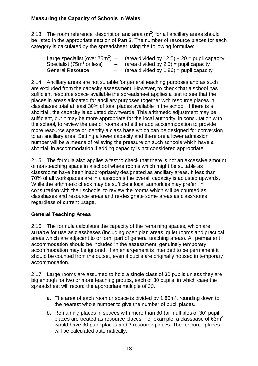2.13 The room reference, description and area (m<sup>2</sup>) for all ancillary areas should be listed in the appropriate section of Part 3. The number of resource places for each category is calculated by the spreadsheet using the following formulae:

| Large specialist (over $75m^2$ ) – | (area divided by $12.5$ ) + $20$ = pupil capacity |
|------------------------------------|---------------------------------------------------|
| Specialist ( $752$ or less)        | $-$ (area divided by 2.5) = pupil capacity        |
| <b>General Resource</b>            | $-$ (area divided by 1.86) = pupil capacity       |

2.14 Ancillary areas are not suitable for general teaching purposes and as such are excluded from the capacity assessment. However, to check that a school has sufficient resource space available the spreadsheet applies a test to see that the places in areas allocated for ancillary purposes together with resource places in classbases total at least 30% of total places available in the school. If there is a shortfall, the capacity is adjusted downwards. This arithmetic adjustment may be sufficient, but it may be more appropriate for the local authority, in consultation with the school, to review the use of rooms and either add accommodation to provide more resource space or identify a class base which can be designed for conversion to an ancillary area. Setting a lower capacity and therefore a lower admission number will be a means of relieving the pressure on such schools which have a shortfall in accommodation if adding capacity is not considered appropriate.

2.15 The formula also applies a test to check that there is not an excessive amount of non-teaching space in a school where rooms which might be suitable as classrooms have been inappropriately designated as ancillary areas. If less than 70% of all workspaces are in classrooms the overall capacity is adjusted upwards. While the arithmetic check may be sufficient local authorities may prefer, in consultation with their schools, to review the rooms which will be counted as classbases and resource areas and re-designate some areas as classrooms regardless of current usage.

#### **General Teaching Areas**

2.16 The formula calculates the capacity of the remaining spaces, which are suitable for use as classbases (including open plan areas, quiet rooms and practical areas which are adjacent to or form part of general teaching areas). All permanent accommodation should be included in the assessment; genuinely temporary accommodation may be ignored. If an enlargement is intended to be permanent it should be counted from the outset, even if pupils are originally housed in temporary accommodation.

2.17 Large rooms are assumed to hold a single class of 30 pupils unless they are big enough for two or more teaching groups, each of 30 pupils, in which case the spreadsheet will record the appropriate multiple of 30.

- a. The area of each room or space is divided by 1.86m<sup>2</sup>, rounding down to the nearest whole number to give the number of pupil places.
- b. Remaining places in spaces with more than 30 (or multiples of 30) pupil places are treated as resource places. For example, a classbase of  $63m^2$ would have 30 pupil places and 3 resource places. The resource places will be calculated automatically.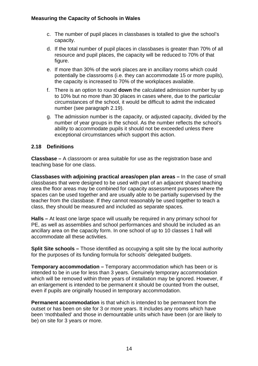- c. The number of pupil places in classbases is totalled to give the school's capacity.
- d. If the total number of pupil places in classbases is greater than 70% of all resource and pupil places, the capacity will be reduced to 70% of that figure.
- e. If more than 30% of the work places are in ancillary rooms which could potentially be classrooms (i.e. they can accommodate 15 or more pupils), the capacity is increased to 70% of the workplaces available.
- f. There is an option to round **down** the calculated admission number by up to 10% but no more than 30 places in cases where, due to the particular circumstances of the school, it would be difficult to admit the indicated number (see paragraph 2.19).
- g. The admission number is the capacity, or adjusted capacity, divided by the number of year groups in the school. As the number reflects the school's ability to accommodate pupils it should not be exceeded unless there exceptional circumstances which support this action.

#### **2.18 Definitions**

**Classbase –** A classroom or area suitable for use as the registration base and teaching base for one class.

**Classbases with adjoining practical areas/open plan areas** *–* In the case of small classbases that were designed to be used with part of an adjacent shared teaching area the floor areas may be combined for capacity assessment purposes where the spaces can be used together and are usually able to be partially supervised by the teacher from the classbase. If they cannot reasonably be used together to teach a class, they should be measured and included as separate spaces.

**Halls –** At least one large space will usually be required in any primary school for PE, as well as assemblies and school performances and should be included as an ancillary area on the capacity form. In one school of up to 10 classes 1 hall will accommodate all these activities.

**Split Site schools –** Those identified as occupying a split site by the local authority for the purposes of its funding formula for schools' delegated budgets.

**Temporary accommodation –** Temporary accommodation which has been or is intended to be in use for less than 3 years. Genuinely temporary accommodation which will be removed within three years of installation may be ignored. However, if an enlargement is intended to be permanent it should be counted from the outset, even if pupils are originally housed in temporary accommodation.

**Permanent accommodation** is that which is intended to be permanent from the outset or has been on site for 3 or more years. It includes any rooms which have been 'mothballed' and those in demountable units which have been (or are likely to be) on site for 3 years or more.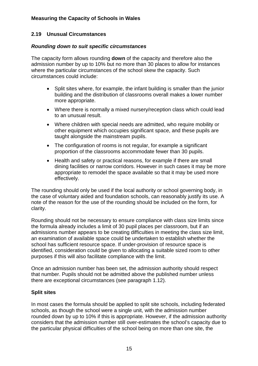#### **2.19 Unusual Circumstances**

#### *Rounding down to suit specific circumstances*

The capacity form allows rounding **down** of the capacity and therefore also the admission number by up to 10% but no more than 30 places to allow for instances where the particular circumstances of the school skew the capacity. Such circumstances could include:

- Split sites where, for example, the infant building is smaller than the junior building and the distribution of classrooms overall makes a lower number more appropriate.
- Where there is normally a mixed nursery/reception class which could lead to an unusual result.
- Where children with special needs are admitted, who require mobility or other equipment which occupies significant space, and these pupils are taught alongside the mainstream pupils.
- The configuration of rooms is not regular, for example a significant proportion of the classrooms accommodate fewer than 30 pupils.
- Health and safety or practical reasons, for example if there are small dining facilities or narrow corridors. However in such cases it may be more appropriate to remodel the space available so that it may be used more effectively.

The rounding should only be used if the local authority or school governing body, in the case of voluntary aided and foundation schools, can reasonably justify its use. A note of the reason for the use of the rounding should be included on the form, for clarity.

Rounding should not be necessary to ensure compliance with class size limits since the formula already includes a limit of 30 pupil places per classroom, but if an admissions number appears to be creating difficulties in meeting the class size limit, an examination of available space could be undertaken to establish whether the school has sufficient resource space. If under-provision of resource space is identified, consideration could be given to allocating a suitable sized room to other purposes if this will also facilitate compliance with the limit.

Once an admission number has been set, the admission authority should respect that number. Pupils should not be admitted above the published number unless there are exceptional circumstances (see paragraph 1.12).

#### **Split sites**

In most cases the formula should be applied to split site schools, including federated schools, as though the school were a single unit, with the admission number rounded down by up to 10% if this is appropriate. However, if the admission authority considers that the admission number still over-estimates the school's capacity due to the particular physical difficulties of the school being on more than one site, the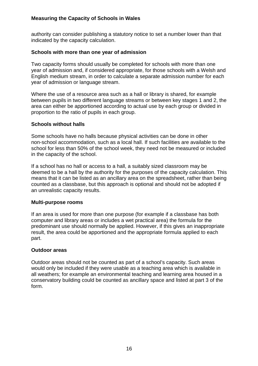authority can consider publishing a statutory notice to set a number lower than that indicated by the capacity calculation.

#### **Schools with more than one year of admission**

Two capacity forms should usually be completed for schools with more than one year of admission and, if considered appropriate, for those schools with a Welsh and English medium stream, in order to calculate a separate admission number for each year of admission or language stream.

Where the use of a resource area such as a hall or library is shared, for example between pupils in two different language streams or between key stages 1 and 2, the area can either be apportioned according to actual use by each group or divided in proportion to the ratio of pupils in each group.

#### **Schools without halls**

Some schools have no halls because physical activities can be done in other non-school accommodation, such as a local hall. If such facilities are available to the school for less than 50% of the school week, they need not be measured or included in the capacity of the school.

If a school has no hall or access to a hall, a suitably sized classroom may be deemed to be a hall by the authority for the purposes of the capacity calculation. This means that it can be listed as an ancillary area on the spreadsheet, rather than being counted as a classbase, but this approach is optional and should not be adopted if an unrealistic capacity results.

#### **Multi-purpose rooms**

If an area is used for more than one purpose (for example if a classbase has both computer and library areas or includes a wet practical area) the formula for the predominant use should normally be applied. However, if this gives an inappropriate result, the area could be apportioned and the appropriate formula applied to each part.

#### **Outdoor areas**

Outdoor areas should not be counted as part of a school's capacity. Such areas would only be included if they were usable as a teaching area which is available in all weathers; for example an environmental teaching and learning area housed in a conservatory building could be counted as ancillary space and listed at part 3 of the form.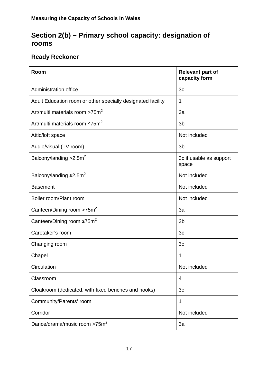# **Section 2(b) – Primary school capacity: designation of rooms**

# **Ready Reckoner**

| Room                                                        | <b>Relevant part of</b><br>capacity form |
|-------------------------------------------------------------|------------------------------------------|
| <b>Administration office</b>                                | 3c                                       |
| Adult Education room or other specially designated facility | 1                                        |
| Art/multi materials room >75m <sup>2</sup>                  | 3a                                       |
| Art/multi materials room $\leq 75$ m <sup>2</sup>           | 3 <sub>b</sub>                           |
| Attic/loft space                                            | Not included                             |
| Audio/visual (TV room)                                      | 3 <sub>b</sub>                           |
| Balcony/landing $>2.5m^2$                                   | 3c if usable as support<br>space         |
| Balcony/landing $\leq 2.5$ m <sup>2</sup>                   | Not included                             |
| <b>Basement</b>                                             | Not included                             |
| Boiler room/Plant room                                      | Not included                             |
| Canteen/Dining room $>75m^2$                                | 3a                                       |
| Canteen/Dining room $\leq 75$ m <sup>2</sup>                | 3 <sub>b</sub>                           |
| Caretaker's room                                            | 3 <sub>c</sub>                           |
| Changing room                                               | 3 <sub>c</sub>                           |
| Chapel                                                      | 1                                        |
| Circulation                                                 | Not included                             |
| Classroom                                                   | 4                                        |
| Cloakroom (dedicated, with fixed benches and hooks)         | 3c                                       |
| Community/Parents' room                                     | 1                                        |
| Corridor                                                    | Not included                             |
| Dance/drama/music room >75m <sup>2</sup>                    | 3a                                       |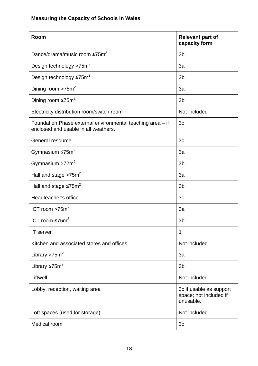| Room                                                                                               | <b>Relevant part of</b><br>capacity form                       |
|----------------------------------------------------------------------------------------------------|----------------------------------------------------------------|
| Dance/drama/music room ≤75m <sup>2</sup>                                                           | 3 <sub>b</sub>                                                 |
| Design technology >75m <sup>2</sup>                                                                | 3a                                                             |
| Design technology $\leq 75 \text{m}^2$                                                             | 3 <sub>b</sub>                                                 |
| Dining room $>75m^2$                                                                               | 3a                                                             |
| Dining room $\leq 75$ m <sup>2</sup>                                                               | 3 <sub>b</sub>                                                 |
| Electricity distribution room/switch room                                                          | Not included                                                   |
| Foundation Phase external environmental teaching area - if<br>enclosed and usable in all weathers. | 3 <sub>c</sub>                                                 |
| General resource                                                                                   | 3c                                                             |
| Gymnasium $\leq 75$ m <sup>2</sup>                                                                 | 3a                                                             |
| Gymnasium $>72m^2$                                                                                 | 3 <sub>b</sub>                                                 |
| Hall and stage $>75m^2$                                                                            | 3a                                                             |
| Hall and stage $\leq 75$ m <sup>2</sup>                                                            | 3 <sub>b</sub>                                                 |
| Headteacher's office                                                                               | 3c                                                             |
| ICT room $>75m^2$                                                                                  | 3a                                                             |
| ICT room $\leq 75$ m <sup>2</sup>                                                                  | 3 <sub>b</sub>                                                 |
| <b>IT</b> server                                                                                   | 1                                                              |
| Kitchen and associated stores and offices                                                          | Not included                                                   |
| Library > $75m^2$                                                                                  | 3a                                                             |
| Library $\leq 75$ m <sup>2</sup>                                                                   | 3 <sub>b</sub>                                                 |
| Liftwell                                                                                           | Not included                                                   |
| Lobby, reception, waiting area                                                                     | 3c if usable as support<br>space; not included if<br>unusable. |
| Loft spaces (used for storage)                                                                     | Not included                                                   |
| Medical room                                                                                       | 3 <sub>c</sub>                                                 |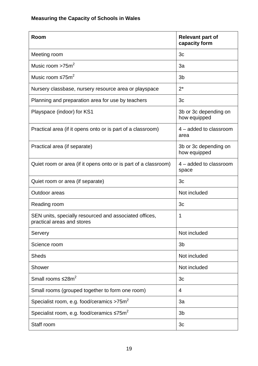| Room                                                                                 | <b>Relevant part of</b><br>capacity form |
|--------------------------------------------------------------------------------------|------------------------------------------|
| Meeting room                                                                         | 3 <sub>c</sub>                           |
| Music room >75m <sup>2</sup>                                                         | 3a                                       |
| Music room $\leq 75$ m <sup>2</sup>                                                  | 3 <sub>b</sub>                           |
| Nursery classbase, nursery resource area or playspace                                | $2^*$                                    |
| Planning and preparation area for use by teachers                                    | 3c                                       |
| Playspace (indoor) for KS1                                                           | 3b or 3c depending on<br>how equipped    |
| Practical area (if it opens onto or is part of a classroom)                          | 4 - added to classroom<br>area           |
| Practical area (if separate)                                                         | 3b or 3c depending on<br>how equipped    |
| Quiet room or area (if it opens onto or is part of a classroom)                      | 4 – added to classroom<br>space          |
| Quiet room or area (if separate)                                                     | 3 <sub>c</sub>                           |
| Outdoor areas                                                                        | Not included                             |
| Reading room                                                                         | 3c                                       |
| SEN units, specially resourced and associated offices,<br>practical areas and stores | $\mathbf 1$                              |
| Servery                                                                              | Not included                             |
| Science room                                                                         | 3 <sub>b</sub>                           |
| <b>Sheds</b>                                                                         | Not included                             |
| <b>Shower</b>                                                                        | Not included                             |
| Small rooms $\leq 28m^2$                                                             | 3 <sub>c</sub>                           |
| Small rooms (grouped together to form one room)                                      | 4                                        |
| Specialist room, e.g. food/ceramics >75m <sup>2</sup>                                | 3a                                       |
| Specialist room, e.g. food/ceramics $\leq 75$ m <sup>2</sup>                         | 3 <sub>b</sub>                           |
| Staff room                                                                           | 3c                                       |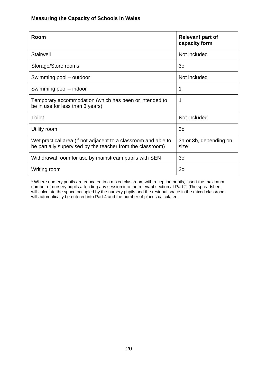| Room                                                                                                                         | <b>Relevant part of</b><br>capacity form |
|------------------------------------------------------------------------------------------------------------------------------|------------------------------------------|
| <b>Stairwell</b>                                                                                                             | Not included                             |
| Storage/Store rooms                                                                                                          | 3c                                       |
| Swimming pool - outdoor                                                                                                      | Not included                             |
| Swimming pool – indoor                                                                                                       | 1                                        |
| Temporary accommodation (which has been or intended to<br>be in use for less than 3 years)                                   | 1                                        |
| Toilet                                                                                                                       | Not included                             |
| Utility room                                                                                                                 | 3c                                       |
| Wet practical area (if not adjacent to a classroom and able to<br>be partially supervised by the teacher from the classroom) | 3a or 3b, depending on<br>size           |
| Withdrawal room for use by mainstream pupils with SEN                                                                        | 3 <sub>c</sub>                           |
| Writing room                                                                                                                 | 3 <sub>c</sub>                           |

\* Where nursery pupils are educated in a mixed classroom with reception pupils, insert the maximum number of nursery pupils attending any session into the relevant section at Part 2. The spreadsheet will calculate the space occupied by the nursery pupils and the residual space in the mixed classroom will automatically be entered into Part 4 and the number of places calculated.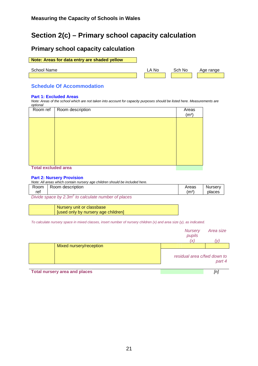# **Section 2(c) – Primary school capacity calculation**

#### **Primary school capacity calculation**

#### **Note: Areas for data entry are shaded yellow**

School Name **LA No** Sch No Age range

#### **Schedule Of Accommodation**

#### **Part 1: Excluded Areas**

*Note: Areas of the school which are not taken into account for capacity purposes should be listed here. Measurements are optional* 

| Room ref                                                                                                        | Room description | Areas<br>(m <sup>2</sup> ) |
|-----------------------------------------------------------------------------------------------------------------|------------------|----------------------------|
|                                                                                                                 |                  |                            |
|                                                                                                                 |                  |                            |
|                                                                                                                 |                  |                            |
|                                                                                                                 |                  |                            |
|                                                                                                                 |                  |                            |
| the contract of the contract of the contract of the contract of the contract of the contract of the contract of |                  |                            |

#### **Total excluded area**

#### **Part 2: Nursery Provision**

|         | Note: All areas which contain nursery age children should be included here. |                   |         |
|---------|-----------------------------------------------------------------------------|-------------------|---------|
| Room    | Room description                                                            | Areas             | Nurserv |
| ref     |                                                                             | (m <sup>2</sup> ) | places  |
| _ _ _ _ | - -                                                                         |                   |         |

*Divide space by 2.3m*<sup>2</sup> to calculate number of places

| Nursery unit or classbase           |
|-------------------------------------|
| [used only by nursery age children] |

*To calculate nursery space in mixed classes, insert number of nursery children (x) and area size (y), as indicated.*

|                                                                   | <b>Nursery</b><br>pupils    | Area size                 |
|-------------------------------------------------------------------|-----------------------------|---------------------------|
|                                                                   |                             |                           |
| Mixed nursery/reception                                           |                             |                           |
|                                                                   | residual area c/fwd down to | part 4                    |
| ■■ south of the company of the company of the form of the company |                             | $\mathbf{r}$ $\mathbf{r}$ |

**Total nursery area and places** *[n]*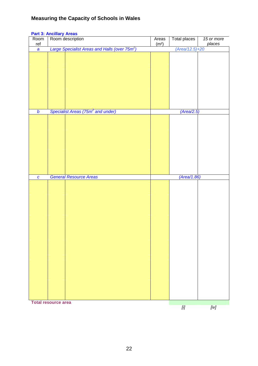# Room ref Room description Areas  $(m<sup>2</sup>)$ Total places *15 or more places a Large Specialist Areas and Halls (over 75m<sup>2</sup> ) (Area/12.5)+20 b* Specialist Areas (75m<sup>2</sup> and under) (Area/2.5) *c General Resource Areas (Area/1.86)*  **Total resource area** *[i] [iv]*

#### **Part 3: Ancillary Areas**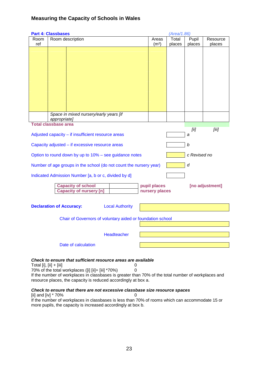|                         | <b>Part 4: Classbases</b>       |                                                                                                     |                        |   |                   | (Area/1.86) |              |                 |
|-------------------------|---------------------------------|-----------------------------------------------------------------------------------------------------|------------------------|---|-------------------|-------------|--------------|-----------------|
| Room                    |                                 | Room description                                                                                    |                        |   | Areas             | Total       | Pupil        | Resource        |
| ref                     |                                 |                                                                                                     |                        |   | (m <sup>2</sup> ) | places      | places       | places          |
|                         |                                 |                                                                                                     |                        |   |                   |             |              |                 |
|                         |                                 |                                                                                                     |                        |   |                   |             |              |                 |
|                         |                                 |                                                                                                     |                        |   |                   |             |              |                 |
|                         |                                 |                                                                                                     |                        |   |                   |             |              |                 |
|                         |                                 |                                                                                                     |                        |   |                   |             |              |                 |
|                         |                                 |                                                                                                     |                        |   |                   |             |              |                 |
|                         |                                 |                                                                                                     |                        |   |                   |             |              |                 |
|                         |                                 |                                                                                                     |                        |   |                   |             |              |                 |
|                         |                                 |                                                                                                     |                        |   |                   |             |              |                 |
|                         |                                 |                                                                                                     |                        |   |                   |             |              |                 |
|                         |                                 |                                                                                                     |                        |   |                   |             |              |                 |
|                         |                                 |                                                                                                     |                        |   |                   |             |              |                 |
|                         |                                 |                                                                                                     |                        |   |                   |             |              |                 |
|                         |                                 | Space in mixed nursery/early years [if                                                              |                        |   |                   |             |              |                 |
|                         | appropriate]                    |                                                                                                     |                        |   |                   |             |              |                 |
|                         | <b>Total classbase area</b>     |                                                                                                     |                        |   |                   |             |              |                 |
|                         |                                 |                                                                                                     |                        |   |                   |             | [ii]         | [iii]           |
|                         |                                 | Adjusted capacity - if insufficient resource areas                                                  |                        |   |                   |             | a            |                 |
|                         |                                 |                                                                                                     |                        |   |                   |             |              |                 |
|                         |                                 | Capacity adjusted - if excessive resource areas                                                     |                        |   |                   |             | b            |                 |
|                         |                                 |                                                                                                     |                        |   |                   |             |              |                 |
|                         |                                 | Option to round down by up to 10% - see guidance notes                                              |                        |   |                   |             | c Revised no |                 |
|                         |                                 |                                                                                                     |                        |   |                   |             |              |                 |
|                         |                                 | Number of age groups in the school (do not count the nursery year)                                  |                        |   |                   |             | d            |                 |
|                         |                                 |                                                                                                     |                        |   |                   |             |              |                 |
|                         |                                 | Indicated Admission Number [a, b or c, divided by d]                                                |                        |   |                   |             |              |                 |
|                         |                                 |                                                                                                     |                        |   |                   |             |              |                 |
|                         |                                 | <b>Capacity of school</b>                                                                           |                        |   | pupil places      |             |              | [no adjustment] |
|                         |                                 | <b>Capacity of nursery [n]</b>                                                                      |                        |   | nursery places    |             |              |                 |
|                         |                                 |                                                                                                     |                        |   |                   |             |              |                 |
|                         |                                 |                                                                                                     |                        |   |                   |             |              |                 |
|                         | <b>Declaration of Accuracy:</b> |                                                                                                     | <b>Local Authority</b> |   |                   |             |              |                 |
|                         |                                 |                                                                                                     |                        |   |                   |             |              |                 |
|                         |                                 |                                                                                                     |                        |   |                   |             |              |                 |
|                         |                                 | Chair of Governors of voluntary aided or foundation school                                          |                        |   |                   |             |              |                 |
|                         |                                 |                                                                                                     |                        |   |                   |             |              |                 |
|                         |                                 |                                                                                                     |                        |   |                   |             |              |                 |
|                         |                                 |                                                                                                     | Headteacher            |   |                   |             |              |                 |
|                         |                                 |                                                                                                     |                        |   |                   |             |              |                 |
|                         |                                 | Date of calculation                                                                                 |                        |   |                   |             |              |                 |
|                         |                                 |                                                                                                     |                        |   |                   |             |              |                 |
|                         |                                 |                                                                                                     |                        |   |                   |             |              |                 |
|                         |                                 | Check to ensure that sufficient resource areas are available                                        |                        |   |                   |             |              |                 |
| Total [i], [ii] + [iii] |                                 |                                                                                                     |                        | 0 |                   |             |              |                 |
|                         |                                 | 70% of the total workplaces ([i] [ii]+ [iii] *70%)                                                  | 0                      |   |                   |             |              |                 |
|                         |                                 | If the number of workplaces in classbases is greater than 70% of the total number of workplaces and |                        |   |                   |             |              |                 |
|                         |                                 | resource places, the capacity is reduced accordingly at box a.                                      |                        |   |                   |             |              |                 |

#### *Check to ensure that there are not excessive classbase size resource spaces*

[ii] and [iv] \* 70% 0 If the number of workplaces in classbases is less than 70% of rooms which can accommodate 15 or more pupils, the capacity is increased accordingly at box b.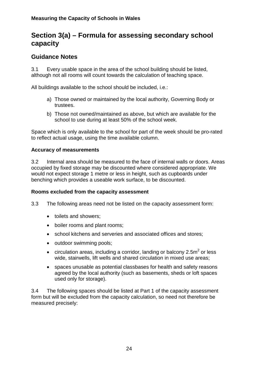# **Section 3(a) – Formula for assessing secondary school capacity**

# **Guidance Notes**

3.1 Every usable space in the area of the school building should be listed, although not all rooms will count towards the calculation of teaching space.

All buildings available to the school should be included, i.e.:

- a) Those owned or maintained by the local authority, Governing Body or trustees.
- b) Those not owned/maintained as above, but which are available for the school to use during at least 50% of the school week.

Space which is only available to the school for part of the week should be pro-rated to reflect actual usage, using the time available column.

#### **Accuracy of measurements**

3.2 Internal area should be measured to the face of internal walls or doors. Areas occupied by fixed storage may be discounted where considered appropriate. We would not expect storage 1 metre or less in height, such as cupboards under benching which provides a useable work surface, to be discounted.

#### **Rooms excluded from the capacity assessment**

- 3.3 The following areas need not be listed on the capacity assessment form:
	- toilets and showers;
	- boiler rooms and plant rooms;
	- school kitchens and serveries and associated offices and stores;
	- outdoor swimming pools;
	- circulation areas, including a corridor, landing or balcony 2.5 $m^2$  or less wide, stairwells, lift wells and shared circulation in mixed use areas;
	- spaces unusable as potential classbases for health and safety reasons agreed by the local authority (such as basements, sheds or loft spaces used only for storage).

3.4 The following spaces should be listed at Part 1 of the capacity assessment form but will be excluded from the capacity calculation, so need not therefore be measured precisely: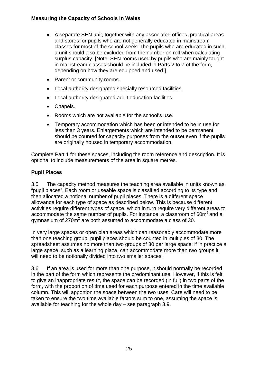- A separate SEN unit, together with any associated offices, practical areas and stores for pupils who are not generally educated in mainstream classes for most of the school week. The pupils who are educated in such a unit should also be excluded from the number on roll when calculating surplus capacity. [Note: SEN rooms used by pupils who are mainly taught in mainstream classes should be included in Parts 2 to 7 of the form, depending on how they are equipped and used.]
- Parent or community rooms.
- Local authority designated specially resourced facilities.
- Local authority designated adult education facilities.
- Chapels.
- Rooms which are not available for the school's use.
- Temporary accommodation which has been or intended to be in use for less than 3 years. Enlargements which are intended to be permanent should be counted for capacity purposes from the outset even if the pupils are originally housed in temporary accommodation.

Complete Part 1 for these spaces, including the room reference and description. It is optional to include measurements of the area in square metres.

#### **Pupil Places**

3.5 The capacity method measures the teaching area available in units known as "pupil places". Each room or useable space is classified according to its type and then allocated a notional number of pupil places. There is a different space allowance for each type of space as described below. This is because different activities require different types of space, which in turn require very different areas to accommodate the same number of pupils. For instance, a classroom of  $60m<sup>2</sup>$  and a gymnasium of 270 $m^2$  are both assumed to accommodate a class of 30.

In very large spaces or open plan areas which can reasonably accommodate more than one teaching group, pupil places should be counted in multiples of 30. The spreadsheet assumes no more than two groups of 30 per large space: if in practice a large space, such as a learning plaza, can accommodate more than two groups it will need to be notionally divided into two smaller spaces.

3.6 If an area is used for more than one purpose, it should normally be recorded in the part of the form which represents the predominant use. However, if this is felt to give an inappropriate result, the space can be recorded (in full) in two parts of the form, with the proportion of time used for each purpose entered in the time available column. This will apportion the space between the two uses. Care will need to be taken to ensure the two time available factors sum to one, assuming the space is available for teaching for the whole day – see paragraph 3.9.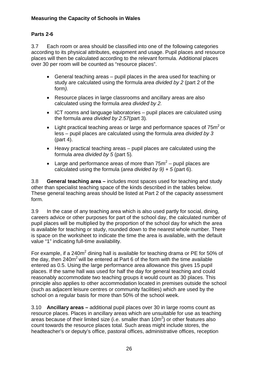#### **Parts 2-6**

3.7 Each room or area should be classified into one of the following categories according to its physical attributes, equipment and usage. Pupil places and resource places will then be calculated according to the relevant formula. Additional places over 30 per room will be counted as "resource places".

- General teaching areas pupil places in the area used for teaching or study are calculated using the formula *area divided by 2* (part 2 of the form*).*
- Resource places in large classrooms and ancillary areas are also calculated using the formula *area divided by 2.*
- ICT rooms and language laboratories pupil places are calculated using the formula *area divided by 2.57*(part 3)*.*
- Light practical teaching areas or large and performance spaces of  $75<sup>m²</sup>$  or less – pupil places are calculated using the formula *area divided by 3*  (part 4).
- Heavy practical teaching areas pupil places are calculated using the formula *area divided by 5* (part 5)*.*
- Large and performance areas of more than  $75m^2$  pupil places are calculated using the formula (*area divided by 9) + 5* (part 6).

3.8 **General teaching area –** includes most spaces used for teaching and study other than specialist teaching space of the kinds described in the tables below. These general teaching areas should be listed at Part 2 of the capacity assessment form.

3.9 In the case of any teaching area which is also used partly for social, dining, careers advice or other purposes for part of the school day, the calculated number of pupil places will be multiplied by the proportion of the school day for which the area is available for teaching or study, rounded down to the nearest whole number. There is space on the worksheet to indicate the time the area is available, with the default value "1" indicating full-time availability.

For example, if a 240m<sup>2</sup> dining hall is available for teaching drama or PE for 50% of the day, then  $240m^2$  will be entered at Part 6 of the form with the time available entered as 0.5. Using the large performance area allowance this gives 15 pupil places. If the same hall was used for half the day for general teaching and could reasonably accommodate two teaching groups it would count as 30 places. This principle also applies to other accommodation located in premises outside the school (such as adjacent leisure centres or community facilities) which are used by the school on a regular basis for more than 50% of the school week.

3.10 **Ancillary areas –** additional pupil places over 30 in large rooms count as resource places. Places in ancillary areas which are unsuitable for use as teaching areas because of their limited size (i.e. smaller than 10m<sup>2</sup>) or other features also count towards the resource places total. Such areas might include stores, the headteacher's or deputy's office, pastoral offices, administrative offices, reception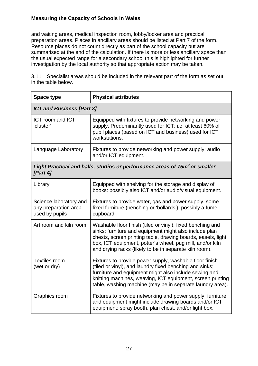and waiting areas, medical inspection room, lobby/locker area and practical preparation areas. Places in ancillary areas should be listed at Part 7 of the form. Resource places do not count directly as part of the school capacity but are summarised at the end of the calculation. If there is more or less ancillary space than the usual expected range for a secondary school this is highlighted for further investigation by the local authority so that appropriate action may be taken.

3.11 Specialist areas should be included in the relevant part of the form as set out in the table below.

| <b>Space type</b>                                                | <b>Physical attributes</b>                                                                                                                                                                                                                                                                                  |  |
|------------------------------------------------------------------|-------------------------------------------------------------------------------------------------------------------------------------------------------------------------------------------------------------------------------------------------------------------------------------------------------------|--|
| <b>ICT and Business [Part 3]</b>                                 |                                                                                                                                                                                                                                                                                                             |  |
| <b>ICT room and ICT</b><br>'cluster'                             | Equipped with fixtures to provide networking and power<br>supply. Predominantly used for ICT: i.e. at least 60% of<br>pupil places (based on ICT and business) used for ICT<br>workstations.                                                                                                                |  |
| Language Laboratory                                              | Fixtures to provide networking and power supply; audio<br>and/or ICT equipment.                                                                                                                                                                                                                             |  |
| [Part 4]                                                         | Light Practical and halls, studios or performance areas of 75m <sup>2</sup> or smaller                                                                                                                                                                                                                      |  |
| Library                                                          | Equipped with shelving for the storage and display of<br>books: possibly also ICT and/or audio/visual equipment.                                                                                                                                                                                            |  |
| Science laboratory and<br>any preparation area<br>used by pupils | Fixtures to provide water, gas and power supply, some<br>fixed furniture (benching or 'bollards'); possibly a fume<br>cupboard.                                                                                                                                                                             |  |
| Art room and kiln room                                           | Washable floor finish (tiled or vinyl), fixed benching and<br>sinks; furniture and equipment might also include plan<br>chests, screen printing table, drawing boards, easels, light<br>box, ICT equipment, potter's wheel, pug mill, and/or kiln<br>and drying racks (likely to be in separate kiln room). |  |
| <b>Textiles room</b><br>(wet or dry)                             | Fixtures to provide power supply, washable floor finish<br>(tiled or vinyl), and laundry fixed benching and sinks;<br>furniture and equipment might also include sewing and<br>knitting machines, weaving, ICT equipment, screen printing<br>table, washing machine (may be in separate laundry area).      |  |
| Graphics room                                                    | Fixtures to provide networking and power supply; furniture<br>and equipment might include drawing boards and/or ICT<br>equipment; spray booth, plan chest, and/or light box.                                                                                                                                |  |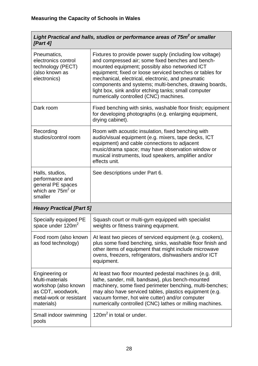| Light Practical and halls, studios or performance areas of 75m <sup>2</sup> or smaller |  |
|----------------------------------------------------------------------------------------|--|
| [Part 4]                                                                               |  |

| Pneumatics,<br>electronics control<br>technology (PECT)<br>(also known as<br>electronics)                               | Fixtures to provide power supply (including low voltage)<br>and compressed air; some fixed benches and bench-<br>mounted equipment; possibly also networked ICT<br>equipment; fixed or loose serviced benches or tables for<br>mechanical, electrical, electronic, and pneumatic<br>components and systems; multi-benches, drawing boards,<br>light box, sink and/or etching tanks; small computer<br>numerically controlled (CNC) machines. |
|-------------------------------------------------------------------------------------------------------------------------|----------------------------------------------------------------------------------------------------------------------------------------------------------------------------------------------------------------------------------------------------------------------------------------------------------------------------------------------------------------------------------------------------------------------------------------------|
| Dark room                                                                                                               | Fixed benching with sinks, washable floor finish; equipment<br>for developing photographs (e.g. enlarging equipment,<br>drying cabinet).                                                                                                                                                                                                                                                                                                     |
| Recording<br>studios/control room                                                                                       | Room with acoustic insulation, fixed benching with<br>audio/visual equipment (e.g. mixers, tape decks, ICT<br>equipment) and cable connections to adjacent<br>music/drama space; may have observation window or<br>musical instruments, loud speakers, amplifier and/or<br>effects unit.                                                                                                                                                     |
| Halls, studios,<br>performance and<br>general PE spaces<br>which are $752$ or<br>smaller                                | See descriptions under Part 6.                                                                                                                                                                                                                                                                                                                                                                                                               |
| <b>Heavy Practical [Part 5]</b>                                                                                         |                                                                                                                                                                                                                                                                                                                                                                                                                                              |
| Specially equipped PE<br>space under 120m <sup>2</sup>                                                                  | Squash court or multi-gym equipped with specialist<br>weights or fitness training equipment.                                                                                                                                                                                                                                                                                                                                                 |
| Food room (also known<br>as food technology)                                                                            | At least two pieces of serviced equipment (e.g. cookers),<br>plus some fixed benching, sinks, washable floor finish and<br>other items of equipment that might include microwave<br>ovens, freezers, refrigerators, dishwashers and/or ICT<br>equipment.                                                                                                                                                                                     |
| Engineering or<br>Multi-materials<br>workshop (also known<br>as CDT, woodwork,<br>metal-work or resistant<br>materials) | At least two floor mounted pedestal machines (e.g. drill,<br>lathe, sander, mill, bandsaw), plus bench-mounted<br>machinery, some fixed perimeter benching, multi-benches;<br>may also have serviced tables, plastics equipment (e.g.<br>vacuum former, hot wire cutter) and/or computer<br>numerically controlled (CNC) lathes or milling machines.                                                                                         |
| Small indoor swimming<br>pools                                                                                          | 120 $m2$ in total or under.                                                                                                                                                                                                                                                                                                                                                                                                                  |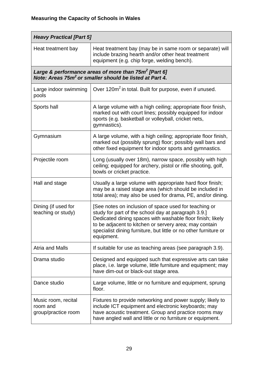| <b>Heavy Practical [Part 5]</b>                        |                                                                                                                                                                                                                                                                                                                        |  |  |
|--------------------------------------------------------|------------------------------------------------------------------------------------------------------------------------------------------------------------------------------------------------------------------------------------------------------------------------------------------------------------------------|--|--|
| Heat treatment bay                                     | Heat treatment bay (may be in same room or separate) will<br>include brazing hearth and/or other heat treatment<br>equipment (e.g. chip forge, welding bench).                                                                                                                                                         |  |  |
|                                                        | Large & performance areas of more than 75m <sup>2</sup> [Part 6]<br>Note: Areas 75m <sup>2</sup> or smaller should be listed at Part 4.                                                                                                                                                                                |  |  |
| Large indoor swimming<br>pools                         | Over 120m <sup>2</sup> in total. Built for purpose, even if unused.                                                                                                                                                                                                                                                    |  |  |
| Sports hall                                            | A large volume with a high ceiling; appropriate floor finish,<br>marked out with court lines; possibly equipped for indoor<br>sports (e.g. basketball or volleyball, cricket nets,<br>gymnastics).                                                                                                                     |  |  |
| Gymnasium                                              | A large volume, with a high ceiling; appropriate floor finish,<br>marked out (possibly sprung) floor; possibly wall bars and<br>other fixed equipment for indoor sports and gymnastics.                                                                                                                                |  |  |
| Projectile room                                        | Long (usually over 18m), narrow space, possibly with high<br>ceiling; equipped for archery, pistol or rifle shooting, golf,<br>bowls or cricket practice.                                                                                                                                                              |  |  |
| Hall and stage                                         | Usually a large volume with appropriate hard floor finish;<br>may be a raised stage area (which should be included in<br>total area); may also be used for drama, PE, and/or dining.                                                                                                                                   |  |  |
| Dining (if used for<br>teaching or study)              | [See notes on inclusion of space used for teaching or<br>study for part of the school day at paragraph 3.9.]<br>Dedicated dining spaces with washable floor finish; likely<br>to be adjacent to kitchen or servery area; may contain<br>specialist dining furniture, but little or no other furniture or<br>equipment. |  |  |
| <b>Atria and Malls</b>                                 | If suitable for use as teaching areas (see paragraph 3.9).                                                                                                                                                                                                                                                             |  |  |
| Drama studio                                           | Designed and equipped such that expressive arts can take<br>place, i.e. large volume, little furniture and equipment; may<br>have dim-out or black-out stage area.                                                                                                                                                     |  |  |
| Dance studio                                           | Large volume, little or no furniture and equipment, sprung<br>floor.                                                                                                                                                                                                                                                   |  |  |
| Music room, recital<br>room and<br>group/practice room | Fixtures to provide networking and power supply; likely to<br>include ICT equipment and electronic keyboards; may<br>have acoustic treatment. Group and practice rooms may<br>have angled wall and little or no furniture or equipment.                                                                                |  |  |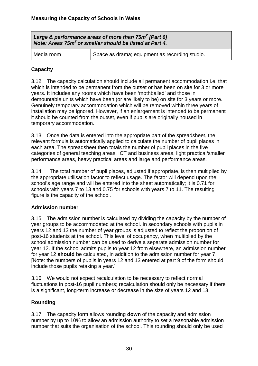| Large & performance areas of more than $75m^2$ [Part 6]<br>Note: Areas 75m <sup>2</sup> or smaller should be listed at Part 4. |                                                |  |
|--------------------------------------------------------------------------------------------------------------------------------|------------------------------------------------|--|
| Media room                                                                                                                     | Space as drama; equipment as recording studio. |  |

#### **Capacity**

3.12 The capacity calculation should include all permanent accommodation i.e. that which is intended to be permanent from the outset or has been on site for 3 or more years. It includes any rooms which have been 'mothballed' and those in demountable units which have been (or are likely to be) on site for 3 years or more. Genuinely temporary accommodation which will be removed within three years of installation may be ignored. However, if an enlargement is intended to be permanent it should be counted from the outset, even if pupils are originally housed in temporary accommodation.

3.13 Once the data is entered into the appropriate part of the spreadsheet, the relevant formula is automatically applied to calculate the number of pupil places in each area. The spreadsheet then totals the number of pupil places in the five categories of general teaching areas, ICT and business areas, light practical/smaller performance areas, heavy practical areas and large and performance areas.

3.14 The total number of pupil places, adjusted if appropriate, is then multiplied by the appropriate utilisation factor to reflect usage. The factor will depend upon the school's age range and will be entered into the sheet automatically; it is 0.71 for schools with years 7 to 13 and 0.75 for schools with years 7 to 11. The resulting figure is the capacity of the school.

#### **Admission number**

3.15 The admission number is calculated by dividing the capacity by the number of year groups to be accommodated at the school. In secondary schools with pupils in years 12 and 13 the number of year groups is adjusted to reflect the proportion of post-16 students at the school. This level of occupancy, when multiplied by the school admission number can be used to derive a separate admission number for year 12. If the school admits pupils to year 12 from elsewhere, an admission number for year 12 **should** be calculated, in addition to the admission number for year 7. [Note: the numbers of pupils in years 12 and 13 entered at part 9 of the form should include those pupils retaking a year.]

3.16 We would not expect recalculation to be necessary to reflect normal fluctuations in post-16 pupil numbers; recalculation should only be necessary if there is a significant, long-term increase or decrease in the size of years 12 and 13.

#### **Rounding**

3.17 The capacity form allows rounding **down** of the capacity and admission number by up to 10% to allow an admission authority to set a reasonable admission number that suits the organisation of the school. This rounding should only be used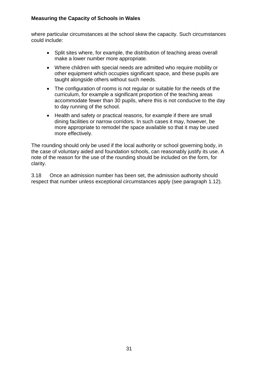where particular circumstances at the school skew the capacity. Such circumstances could include:

- Split sites where, for example, the distribution of teaching areas overall make a lower number more appropriate.
- Where children with special needs are admitted who require mobility or other equipment which occupies significant space, and these pupils are taught alongside others without such needs.
- The configuration of rooms is not regular or suitable for the needs of the curriculum, for example a significant proportion of the teaching areas accommodate fewer than 30 pupils, where this is not conducive to the day to day running of the school.
- Health and safety or practical reasons, for example if there are small dining facilities or narrow corridors. In such cases it may, however, be more appropriate to remodel the space available so that it may be used more effectively.

The rounding should only be used if the local authority or school governing body, in the case of voluntary aided and foundation schools, can reasonably justify its use. A note of the reason for the use of the rounding should be included on the form, for clarity.

3.18 Once an admission number has been set, the admission authority should respect that number unless exceptional circumstances apply (see paragraph 1.12).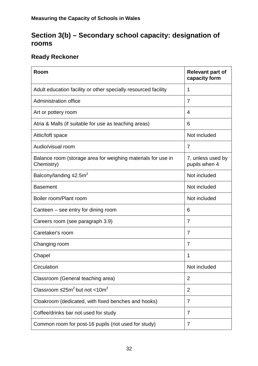# **Section 3(b) – Secondary school capacity: designation of rooms**

# **Ready Reckoner**

| Room                                                                       | <b>Relevant part of</b><br>capacity form |
|----------------------------------------------------------------------------|------------------------------------------|
| Adult education facility or other specially resourced facility             | 1                                        |
| <b>Administration office</b>                                               | 7                                        |
| Art or pottery room                                                        | 4                                        |
| Atria & Malls (if suitable for use as teaching areas)                      | 6                                        |
| Attic/loft space                                                           | Not included                             |
| Audio/visual room                                                          | $\overline{7}$                           |
| Balance room (storage area for weighing materials for use in<br>Chemistry) | 7, unless used by<br>pupils when 4       |
| Balcony/landing $\leq 2.5$ m <sup>2</sup>                                  | Not included                             |
| <b>Basement</b>                                                            | Not included                             |
| Boiler room/Plant room                                                     | Not included                             |
| Canteen – see entry for dining room                                        | 6                                        |
| Careers room (see paragraph 3.9)                                           | $\overline{7}$                           |
| Caretaker's room                                                           | $\overline{7}$                           |
| Changing room                                                              | 7                                        |
| Chapel                                                                     | 1                                        |
| Circulation                                                                | Not included                             |
| Classroom (General teaching area)                                          | $\overline{2}$                           |
| Classroom $\leq 25m^2$ but not $< 10m^2$                                   | $\overline{2}$                           |
| Cloakroom (dedicated, with fixed benches and hooks)                        | $\overline{7}$                           |
| Coffee/drinks bar not used for study                                       | $\overline{7}$                           |
| Common room for post-16 pupils (not used for study)                        | $\overline{7}$                           |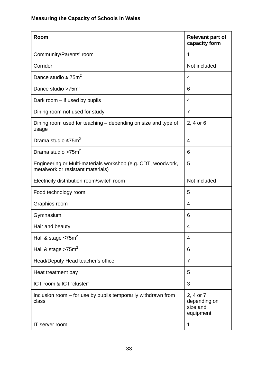| Room                                                                                              | <b>Relevant part of</b><br>capacity form           |
|---------------------------------------------------------------------------------------------------|----------------------------------------------------|
| Community/Parents' room                                                                           | 1                                                  |
| Corridor                                                                                          | Not included                                       |
| Dance studio $\leq 75$ m <sup>2</sup>                                                             | 4                                                  |
| Dance studio $>75$ m <sup>2</sup>                                                                 | 6                                                  |
| Dark room - if used by pupils                                                                     | 4                                                  |
| Dining room not used for study                                                                    | $\overline{7}$                                     |
| Dining room used for teaching – depending on size and type of<br>usage                            | 2, 4 or 6                                          |
| Drama studio $\leq 75$ m <sup>2</sup>                                                             | 4                                                  |
| Drama studio >75m <sup>2</sup>                                                                    | 6                                                  |
| Engineering or Multi-materials workshop (e.g. CDT, woodwork,<br>metalwork or resistant materials) | 5                                                  |
| Electricity distribution room/switch room                                                         | Not included                                       |
| Food technology room                                                                              | 5                                                  |
| Graphics room                                                                                     | 4                                                  |
| Gymnasium                                                                                         | 6                                                  |
| Hair and beauty                                                                                   | 4                                                  |
| Hall & stage $\leq 75$ m <sup>2</sup>                                                             | 4                                                  |
| Hall & stage $>75m^2$                                                                             | 6                                                  |
| Head/Deputy Head teacher's office                                                                 | 7                                                  |
| Heat treatment bay                                                                                | 5                                                  |
| ICT room & ICT 'cluster'                                                                          | 3                                                  |
| Inclusion room – for use by pupils temporarily withdrawn from<br>class                            | 2, 4 or 7<br>depending on<br>size and<br>equipment |
| IT server room                                                                                    | 1                                                  |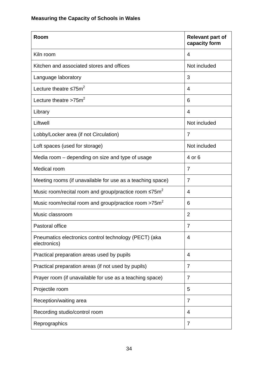| Room                                                                     | <b>Relevant part of</b><br>capacity form |
|--------------------------------------------------------------------------|------------------------------------------|
| Kiln room                                                                | $\overline{4}$                           |
| Kitchen and associated stores and offices                                | Not included                             |
| Language laboratory                                                      | 3                                        |
| Lecture theatre $\leq 75$ m <sup>2</sup>                                 | $\overline{4}$                           |
| Lecture theatre $>75m^2$                                                 | 6                                        |
| Library                                                                  | $\overline{4}$                           |
| Liftwell                                                                 | Not included                             |
| Lobby/Locker area (if not Circulation)                                   | $\overline{7}$                           |
| Loft spaces (used for storage)                                           | Not included                             |
| Media room - depending on size and type of usage                         | 4 or 6                                   |
| Medical room                                                             | $\overline{7}$                           |
| Meeting rooms (if unavailable for use as a teaching space)               | $\overline{7}$                           |
| Music room/recital room and group/practice room $\leq 75$ m <sup>2</sup> | $\overline{4}$                           |
| Music room/recital room and group/practice room >75m <sup>2</sup>        | 6                                        |
| Music classroom                                                          | $\overline{2}$                           |
| Pastoral office                                                          | $\overline{7}$                           |
| Pneumatics electronics control technology (PECT) (aka<br>electronics)    | $\overline{4}$                           |
| Practical preparation areas used by pupils                               | $\overline{4}$                           |
| Practical preparation areas (if not used by pupils)                      | $\overline{7}$                           |
| Prayer room (if unavailable for use as a teaching space)                 | 7                                        |
| Projectile room                                                          | 5                                        |
| Reception/waiting area                                                   | 7                                        |
| Recording studio/control room                                            | $\overline{4}$                           |
| Reprographics                                                            | 7                                        |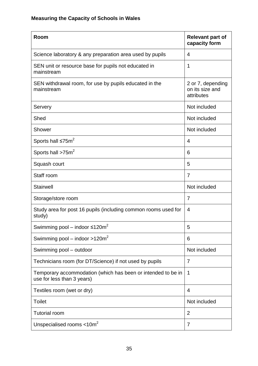| Room                                                                                       | <b>Relevant part of</b><br>capacity form           |
|--------------------------------------------------------------------------------------------|----------------------------------------------------|
| Science laboratory & any preparation area used by pupils                                   | $\overline{4}$                                     |
| SEN unit or resource base for pupils not educated in<br>mainstream                         | 1                                                  |
| SEN withdrawal room, for use by pupils educated in the<br>mainstream                       | 2 or 7, depending<br>on its size and<br>attributes |
| Servery                                                                                    | Not included                                       |
| Shed                                                                                       | Not included                                       |
| Shower                                                                                     | Not included                                       |
| Sports hall $\leq 75$ m <sup>2</sup>                                                       | $\overline{4}$                                     |
| Sports hall >75m <sup>2</sup>                                                              | 6                                                  |
| Squash court                                                                               | 5                                                  |
| Staff room                                                                                 | $\overline{7}$                                     |
| <b>Stairwell</b>                                                                           | Not included                                       |
| Storage/store room                                                                         | $\overline{7}$                                     |
| Study area for post 16 pupils (including common rooms used for<br>study)                   | $\overline{4}$                                     |
| Swimming pool - indoor $\leq 120 \text{m}^2$                                               | 5                                                  |
| Swimming pool – indoor $>120m^2$                                                           | 6                                                  |
| Swimming pool - outdoor                                                                    | Not included                                       |
| Technicians room (for DT/Science) if not used by pupils                                    | 7                                                  |
| Temporary accommodation (which has been or intended to be in<br>use for less than 3 years) | 1                                                  |
| Textiles room (wet or dry)                                                                 | $\overline{4}$                                     |
| <b>Toilet</b>                                                                              | Not included                                       |
| <b>Tutorial room</b>                                                                       | $\overline{2}$                                     |
| Unspecialised rooms $<$ 10m <sup>2</sup>                                                   | $\overline{7}$                                     |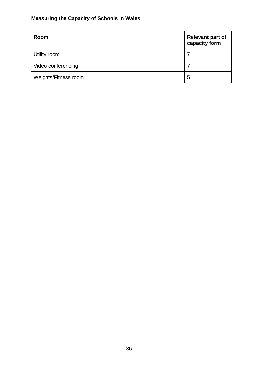| Room                 | <b>Relevant part of</b><br>capacity form |
|----------------------|------------------------------------------|
| Utility room         | 7                                        |
| Video conferencing   |                                          |
| Weights/Fitness room | 5                                        |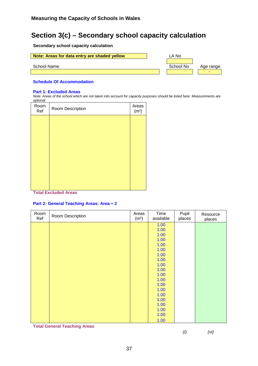# **Section 3(c) – Secondary school capacity calculation**

**Secondary school capacity calculation** 

| Note: Areas for data entry are shaded yellow | LA No     |           |
|----------------------------------------------|-----------|-----------|
| School Name                                  | School No | Age range |
|                                              |           |           |

#### **Schedule Of Accommodation**

#### **Part 1: Excluded Areas**

*Note: Areas of the school which are not taken into account for capacity purposes should be listed here. Measurements are optional* 

| Room<br>Ref | Room Description | Areas<br>(m <sup>2</sup> ) |
|-------------|------------------|----------------------------|
|             |                  |                            |
|             |                  |                            |
|             |                  |                            |
|             |                  |                            |
|             |                  |                            |
|             |                  |                            |
|             |                  |                            |
|             |                  |                            |

#### **Total Excluded Areas**

#### **Part 2: General Teaching Areas: Area ÷ 2**

| Room<br>Ref | Room Description | Areas<br>(m <sup>2</sup> ) | Time<br>available | Pupil<br>places | Resource<br>places |
|-------------|------------------|----------------------------|-------------------|-----------------|--------------------|
|             |                  |                            | 1.00              |                 |                    |
|             |                  |                            | 1.00              |                 |                    |
|             |                  |                            | 1.00              |                 |                    |
|             |                  |                            | 1.00              |                 |                    |
|             |                  |                            | 1.00              |                 |                    |
|             |                  |                            | 1.00              |                 |                    |
|             |                  |                            | 1.00              |                 |                    |
|             |                  |                            | 1.00              |                 |                    |
|             |                  |                            | 1.00              |                 |                    |
|             |                  |                            | 1.00              |                 |                    |
|             |                  |                            | 1.00              |                 |                    |
|             |                  |                            | 1.00              |                 |                    |
|             |                  |                            | 1.00              |                 |                    |
|             |                  |                            | 1.00              |                 |                    |
|             |                  |                            | 1.00              |                 |                    |
|             |                  |                            | 1.00              |                 |                    |
|             |                  |                            | 1.00              |                 |                    |
|             |                  |                            | 1.00              |                 |                    |
|             |                  |                            | 1.00              |                 |                    |
|             |                  |                            | 1.00              |                 |                    |

**Total General Teaching Areas** 

*(i) (vi)*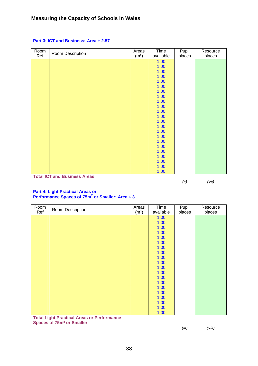| Room | Room Description               | Areas             | Time      | Pupil  | Resource |
|------|--------------------------------|-------------------|-----------|--------|----------|
| Ref  |                                | (m <sup>2</sup> ) | available | places | places   |
|      |                                |                   | 1.00      |        |          |
|      |                                |                   | 1.00      |        |          |
|      |                                |                   | 1.00      |        |          |
|      |                                |                   | 1.00      |        |          |
|      |                                |                   | 1.00      |        |          |
|      |                                |                   | 1.00      |        |          |
|      |                                |                   | 1.00      |        |          |
|      |                                |                   | 1.00      |        |          |
|      |                                |                   | 1.00      |        |          |
|      |                                |                   | 1.00      |        |          |
|      |                                |                   | 1.00      |        |          |
|      |                                |                   | 1.00      |        |          |
|      |                                |                   | 1.00      |        |          |
|      |                                |                   | 1.00      |        |          |
|      |                                |                   | 1.00      |        |          |
|      |                                |                   | 1.00      |        |          |
|      |                                |                   | 1.00      |        |          |
|      |                                |                   | 1.00      |        |          |
|      |                                |                   | 1.00      |        |          |
|      |                                |                   | 1.00      |        |          |
|      |                                |                   | 1.00      |        |          |
|      |                                |                   | 1.00      |        |          |
|      | Tatal IOT and Duale and Angels |                   | 1.00      |        |          |

#### **Part 3: ICT and Business: Area ÷ 2.57**

**Total ICT and Business Areas** 

*(ii) (vii)* 

#### **Part 4: Light Practical Areas or Performance Spaces of 75m<sup>2</sup> or Smaller: Area** ÷ **3**

| Room | Room Description                                  |                   | Time      | Pupil  | Resource |
|------|---------------------------------------------------|-------------------|-----------|--------|----------|
| Ref  |                                                   | (m <sup>2</sup> ) | available | places | places   |
|      |                                                   |                   | 1.00      |        |          |
|      |                                                   |                   | 1.00      |        |          |
|      |                                                   |                   | 1.00      |        |          |
|      |                                                   |                   | 1.00      |        |          |
|      |                                                   |                   | 1.00      |        |          |
|      |                                                   |                   | 1.00      |        |          |
|      |                                                   |                   | 1.00      |        |          |
|      |                                                   |                   | 1.00      |        |          |
|      |                                                   |                   | 1.00      |        |          |
|      |                                                   |                   | 1.00      |        |          |
|      |                                                   |                   | 1.00      |        |          |
|      |                                                   |                   | 1.00      |        |          |
|      |                                                   |                   | 1.00      |        |          |
|      |                                                   |                   | 1.00      |        |          |
|      |                                                   |                   | 1.00      |        |          |
|      |                                                   |                   | 1.00      |        |          |
|      |                                                   |                   | 1.00      |        |          |
|      |                                                   |                   | 1.00      |        |          |
|      |                                                   |                   | 1.00      |        |          |
|      |                                                   |                   | 1.00      |        |          |
|      | <b>Total Light Practical Areas or Performance</b> |                   |           |        |          |

**Total Light Practical Areas or Performance Spaces of 75m² or Smaller**

*(iii) (viii)*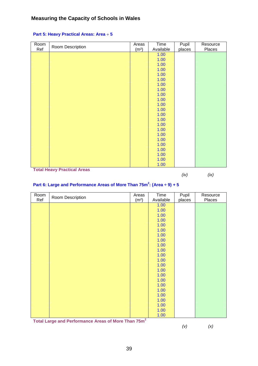| Room | Room Description | Areas | Time      | Pupil  | Resource |
|------|------------------|-------|-----------|--------|----------|
| Ref  |                  |       | Available | places | Places   |
|      |                  |       | 1.00      |        |          |
|      |                  |       | 1.00      |        |          |
|      |                  |       | 1.00      |        |          |
|      |                  |       | 1.00      |        |          |
|      |                  |       | 1.00      |        |          |
|      |                  |       | 1.00      |        |          |
|      |                  |       | 1.00      |        |          |
|      |                  |       | 1.00      |        |          |
|      |                  |       | 1.00      |        |          |
|      |                  |       | 1.00      |        |          |
|      |                  |       | 1.00      |        |          |
|      |                  |       | 1.00      |        |          |
|      |                  |       | 1.00      |        |          |
|      |                  |       | 1.00      |        |          |
|      |                  |       | 1.00      |        |          |
|      |                  |       | 1.00      |        |          |
|      |                  |       | 1.00      |        |          |
|      |                  |       | 1.00      |        |          |
|      |                  |       | 1.00      |        |          |
|      |                  |       | 1.00      |        |          |
|      |                  |       | 1.00      |        |          |
|      |                  |       | 1.00      |        |          |
|      |                  |       | 1.00      |        |          |

#### **Part 5: Heavy Practical Areas: Area** ÷ **5**

**Total Heavy Practical Areas**

*(iv) (ix)* 

#### **Part 6: Large and Performance Areas of More Than 75m<sup>2</sup> : (Area ÷ 9) + 5**

| Room | Room Description |        | Time      | Pupil  | Resource |
|------|------------------|--------|-----------|--------|----------|
| Ref  |                  |        | Available | places | Places   |
|      |                  |        | 1.00      |        |          |
|      |                  |        | 1.00      |        |          |
|      |                  |        | 1.00      |        |          |
|      |                  |        | 1.00      |        |          |
|      |                  |        | 1.00      |        |          |
|      |                  |        | 1.00      |        |          |
|      |                  |        | 1.00      |        |          |
|      |                  |        | 1.00      |        |          |
|      |                  |        | 1.00      |        |          |
|      |                  |        | 1.00      |        |          |
|      |                  |        | 1.00      |        |          |
|      |                  |        | 1.00      |        |          |
|      |                  |        | 1.00      |        |          |
|      |                  |        | 1.00      |        |          |
|      |                  |        | 1.00      |        |          |
|      |                  |        | 1.00      |        |          |
|      |                  |        | 1.00      |        |          |
|      |                  |        | 1.00      |        |          |
|      |                  |        | 1.00      |        |          |
|      |                  |        | 1.00      |        |          |
|      |                  |        | 1.00      |        |          |
|      |                  |        | 1.00      |        |          |
|      |                  | $\sim$ | 1.00      |        |          |

**Total Large and Performance Areas of More Than 75m<sup>2</sup>**

*(v) (x)*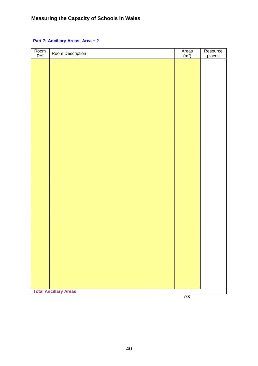#### **Part 7: Ancillary Areas: Area ÷ 2**

| Room<br>Ref | Room Description             | Areas $(m2)$      | Resource |
|-------------|------------------------------|-------------------|----------|
|             |                              |                   | places   |
|             |                              |                   |          |
|             |                              |                   |          |
|             |                              |                   |          |
|             |                              |                   |          |
|             |                              |                   |          |
|             |                              |                   |          |
|             |                              |                   |          |
|             |                              |                   |          |
|             |                              |                   |          |
|             |                              |                   |          |
|             |                              |                   |          |
|             |                              |                   |          |
|             |                              |                   |          |
|             |                              |                   |          |
|             |                              |                   |          |
|             |                              |                   |          |
|             |                              |                   |          |
|             |                              |                   |          |
|             |                              |                   |          |
|             |                              |                   |          |
|             |                              |                   |          |
|             |                              |                   |          |
|             |                              |                   |          |
|             |                              |                   |          |
|             |                              |                   |          |
|             |                              |                   |          |
|             |                              |                   |          |
|             |                              |                   |          |
|             |                              |                   |          |
|             |                              |                   |          |
|             |                              |                   |          |
|             |                              |                   |          |
|             |                              |                   |          |
|             |                              |                   |          |
|             |                              |                   |          |
|             |                              |                   |          |
|             |                              |                   |          |
|             |                              |                   |          |
|             | <b>Total Ancillary Areas</b> |                   |          |
|             |                              | (x <sub>i</sub> ) |          |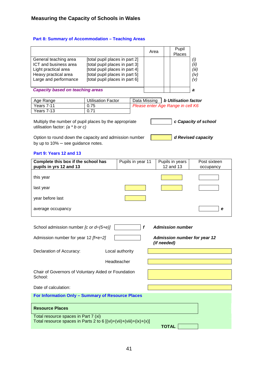#### **Part 8: Summary of Accommodation – Teaching Areas**

|                                                                                                 |                                                                  |                   | Area         |              | Pupil<br>Places                                                  |                                     |
|-------------------------------------------------------------------------------------------------|------------------------------------------------------------------|-------------------|--------------|--------------|------------------------------------------------------------------|-------------------------------------|
| General teaching area                                                                           | [total pupil places in part 2]                                   |                   |              |              |                                                                  | (i)                                 |
| ICT and business area<br>Light practical area                                                   | [total pupil places in part 3]<br>[total pupil places in part 4] |                   |              |              |                                                                  | (ii)<br>(iii)                       |
| Heavy practical area                                                                            | [total pupil places in part 5]                                   |                   |              |              |                                                                  | (iv)                                |
| Large and performance                                                                           | [total pupil places in part 6]                                   |                   |              |              |                                                                  | (v)                                 |
| <b>Capacity based on teaching areas</b>                                                         |                                                                  |                   |              |              |                                                                  | а                                   |
|                                                                                                 |                                                                  |                   |              |              |                                                                  |                                     |
| Age Range<br>Years 7-11                                                                         | <b>Utilisation Factor</b><br>0.75                                |                   | Data Missing |              | <b>b Utilisation factor</b><br>Please enter Age Range in cell K6 |                                     |
| Years 7-13                                                                                      | 0.71                                                             |                   |              |              |                                                                  |                                     |
| Multiply the number of pupil places by the appropriate<br>utilisation factor: $(a * b or c)$    |                                                                  |                   |              |              |                                                                  | c Capacity of school                |
| Option to round down the capacity and admission number<br>by up to $10\%$ – see guidance notes. |                                                                  |                   |              |              |                                                                  | d Revised capacity                  |
| Part 9: Years 12 and 13                                                                         |                                                                  |                   |              |              |                                                                  |                                     |
| Complete this box if the school has                                                             |                                                                  | Pupils in year 11 |              |              | Pupils in years                                                  | Post sixteen                        |
| pupils in yrs 12 and 13                                                                         |                                                                  |                   |              |              | 12 and 13                                                        | occupancy                           |
| this year                                                                                       |                                                                  |                   |              |              |                                                                  |                                     |
| last year                                                                                       |                                                                  |                   |              |              |                                                                  |                                     |
| year before last                                                                                |                                                                  |                   |              |              |                                                                  |                                     |
| average occupancy                                                                               |                                                                  |                   |              |              |                                                                  | е                                   |
|                                                                                                 |                                                                  |                   |              |              |                                                                  |                                     |
| School admission number [c or $d \div (5+e)$ ]                                                  |                                                                  |                   | f            |              | <b>Admission number</b>                                          |                                     |
| Admission number for year 12 $[$ f $xe \div 2]$                                                 |                                                                  |                   |              | (if needed)  |                                                                  | <b>Admission number for year 12</b> |
| Declaration of Accuracy:                                                                        |                                                                  | Local authority   |              |              |                                                                  |                                     |
|                                                                                                 |                                                                  | Headteacher       |              |              |                                                                  |                                     |
| Chair of Governors of Voluntary Aided or Foundation<br>School:                                  |                                                                  |                   |              |              |                                                                  |                                     |
| Date of calculation:                                                                            |                                                                  |                   |              |              |                                                                  |                                     |
| For Information Only - Summary of Resource Places                                               |                                                                  |                   |              |              |                                                                  |                                     |
| <b>Resource Places</b>                                                                          |                                                                  |                   |              |              |                                                                  |                                     |
| Total resource spaces in Part 7 (xi)                                                            |                                                                  |                   |              |              |                                                                  |                                     |
| Total resource spaces in Parts 2 to 6 $[(vi)+(viii)+(ix)+(x)]$                                  |                                                                  |                   |              | <b>TOTAL</b> |                                                                  |                                     |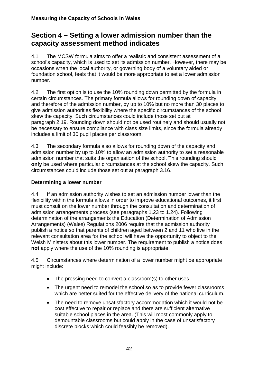# **Section 4 – Setting a lower admission number than the capacity assessment method indicates**

4.1 The MCSW formula aims to offer a realistic and consistent assessment of a school's capacity, which is used to set its admission number. However, there may be occasions when the local authority, or governing body of a voluntary aided or foundation school, feels that it would be more appropriate to set a lower admission number.

4.2 The first option is to use the 10% rounding down permitted by the formula in certain circumstances. The primary formula allows for rounding down of capacity, and therefore of the admission number, by up to 10% but no more than 30 places to give admission authorities flexibility where the specific circumstances of the school skew the capacity. Such circumstances could include those set out at paragraph 2.19. Rounding down should not be used routinely and should usually not be necessary to ensure compliance with class size limits, since the formula already includes a limit of 30 pupil places per classroom.

4.3 The secondary formula also allows for rounding down of the capacity and admission number by up to 10% to allow an admission authority to set a reasonable admission number that suits the organisation of the school. This rounding should **only** be used where particular circumstances at the school skew the capacity. Such circumstances could include those set out at paragraph 3.16.

#### **Determining a lower number**

4.4 If an admission authority wishes to set an admission number lower than the flexibility within the formula allows in order to improve educational outcomes, it first must consult on the lower number through the consultation and determination of admission arrangements process (see paragraphs 1.23 to 1.24). Following determination of the arrangements the Education (Determination of Admission Arrangements) (Wales) Regulations 2006 require that the admission authority publish a notice so that parents of children aged between 2 and 11 who live in the relevant consultation area for the school will have the opportunity to object to the Welsh Ministers about this lower number. The requirement to publish a notice does **not** apply where the use of the 10% rounding is appropriate.

4.5 Circumstances where determination of a lower number might be appropriate might include:

- The pressing need to convert a classroom(s) to other uses.
- The urgent need to remodel the school so as to provide fewer classrooms which are better suited for the effective delivery of the national curriculum.
- The need to remove unsatisfactory accommodation which it would not be cost effective to repair or replace and there are sufficient alternative suitable school places in the area. (This will most commonly apply to demountable classrooms but could apply in the case of unsatisfactory discrete blocks which could feasibly be removed).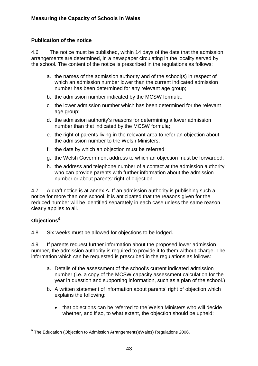#### **Publication of the notice**

4.6 The notice must be published, within 14 days of the date that the admission arrangements are determined, in a newspaper circulating in the locality served by the school. The content of the notice is prescribed in the regulations as follows:

- a. the names of the admission authority and of the school(s) in respect of which an admission number lower than the current indicated admission number has been determined for any relevant age group;
- b. the admission number indicated by the MCSW formula;
- c. the lower admission number which has been determined for the relevant age group;
- d. the admission authority's reasons for determining a lower admission number than that indicated by the MCSW formula;
- e. the right of parents living in the relevant area to refer an objection about the admission number to the Welsh Ministers;
- f. the date by which an objection must be referred;
- g. the Welsh Government address to which an objection must be forwarded;
- h. the address and telephone number of a contact at the admission authority who can provide parents with further information about the admission number or about parents' right of objection.

4.7 A draft notice is at annex A. If an admission authority is publishing such a notice for more than one school, it is anticipated that the reasons given for the reduced number will be identified separately in each case unless the same reason clearly applies to all.

#### **Objections[9](#page-45-0)**

4.8 Six weeks must be allowed for objections to be lodged.

4.9 If parents request further information about the proposed lower admission number, the admission authority is required to provide it to them without charge. The information which can be requested is prescribed in the regulations as follows:

- a. Details of the assessment of the school's current indicated admission number (i.e. a copy of the MCSW capacity assessment calculation for the year in question and supporting information, such as a plan of the school.)
- b. A written statement of information about parents' right of objection which explains the following:
	- that objections can be referred to the Welsh Ministers who will decide whether, and if so, to what extent, the objection should be upheld;

<span id="page-45-0"></span> 9 The Education (Objection to Admission Arrangements)(Wales) Regulations 2006.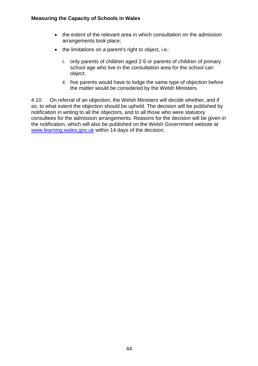- the extent of the relevant area in which consultation on the admission arrangements took place;
- the limitations on a parent's right to object, i.e.:
	- i. only parents of children aged 2-5 or parents of children of primary school age who live in the consultation area for the school can object;
	- ii. five parents would have to lodge the same type of objection before the matter would be considered by the Welsh Ministers.

4.10 On referral of an objection, the Welsh Ministers will decide whether, and if so, to what extent the objection should be upheld. The decision will be published by notification in writing to all the objectors, and to all those who were statutory consultees for the admission arrangements. Reasons for the decision will be given in the notification, which will also be published on the Welsh Government website at [www.learning.wales.gov.uk](http://www.learning.wales.gov.uk/) within 14 days of the decision.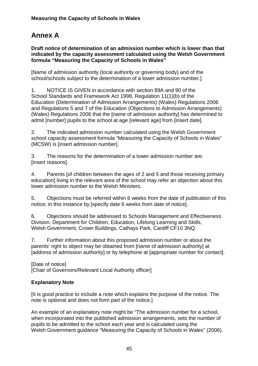# **Annex A**

**Draft notice of determination of an admission number which is lower than that indicated by the capacity assessment calculated using the Welsh Government formula "Measuring the Capacity of Schools in Wales"** 

[Name of admission authority (local authority or governing body) and of the school/schools subject to the determination of a lower admission number.]

1. NOTICE IS GIVEN in accordance with section 89A and 90 of the School Standards and Framework Act 1998, Regulation 11(1)(b) of the Education (Determination of Admission Arrangements) (Wales) Regulations 2006 and Regulations 5 and 7 of the Education (Objections to Admission Arrangements) (Wales) Regulations 2006 that the [name of admission authority] has determined to admit [number] pupils to the school at age [relevant age] from [insert date].

2. The indicated admission number calculated using the Welsh Government school capacity assessment formula "Measuring the Capacity of Schools in Wales" (MCSW) is [insert admission number].

3. The reasons for the determination of a lower admission number are: [insert reasons].

4. Parents [of children between the ages of 2 and 5 and those receiving primary education] living in the relevant area of the school may refer an objection about this lower admission number to the Welsh Ministers.

5. Objections must be referred within 6 weeks from the date of publication of this notice; in this instance by [specify date 6 weeks from date of notice].

6. Objections should be addressed to Schools Management and Effectiveness Division, Department for Children, Education, Lifelong Learning and Skills, Welsh Government, Crown Buildings, Cathays Park, Cardiff CF10 3NQ.

7. Further information about this proposed admission number or about the parents' right to object may be obtained from [name of admission authority] at [address of admission authority] or by telephone at [appropriate number for contact].

[Date of notice] [Chair of Governors/Relevant Local Authority officer]

#### **Explanatory Note**

[It is good practice to include a note which explains the purpose of the notice. The note is optional and does not form part of the notice.]

An example of an explanatory note might be "The admission number for a school, when incorporated into the published admission arrangements, sets the number of pupils to be admitted to the school each year and is calculated using the Welsh Government guidance "Measuring the Capacity of Schools in Wales" (2006).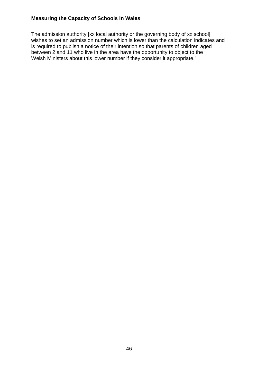The admission authority [xx local authority or the governing body of xx school] wishes to set an admission number which is lower than the calculation indicates and is required to publish a notice of their intention so that parents of children aged between 2 and 11 who live in the area have the opportunity to object to the Welsh Ministers about this lower number if they consider it appropriate."